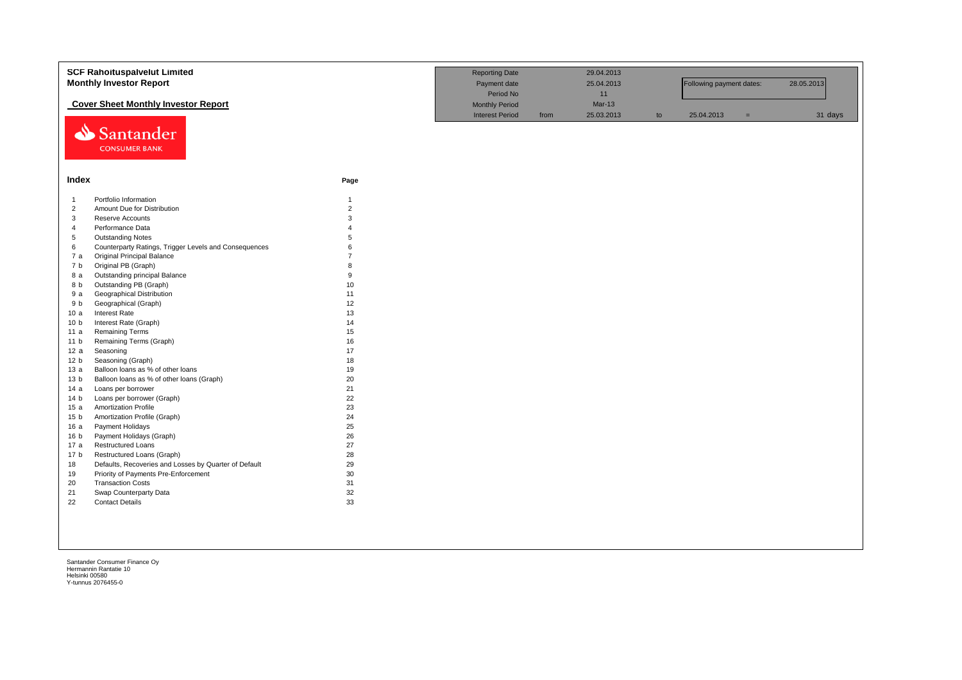|                 | <b>SCF Rahoituspalvelut Limited</b>                   |                | <b>Reporting Date</b>  |      | 29.04.2013 |    |                          |     |            |
|-----------------|-------------------------------------------------------|----------------|------------------------|------|------------|----|--------------------------|-----|------------|
|                 | <b>Monthly Investor Report</b>                        |                | Payment date           |      | 25.04.2013 |    | Following payment dates: |     | 28.05.2013 |
|                 |                                                       |                | Period No              |      | 11         |    |                          |     |            |
|                 | <b>Cover Sheet Monthly Investor Report</b>            |                | <b>Monthly Period</b>  |      | $Mar-13$   |    |                          |     |            |
|                 |                                                       |                | <b>Interest Period</b> | from | 25.03.2013 | to | 25.04.2013               | $=$ | 31 days    |
|                 |                                                       |                |                        |      |            |    |                          |     |            |
|                 | Santander                                             |                |                        |      |            |    |                          |     |            |
|                 | <b>CONSUMER BANK</b>                                  |                |                        |      |            |    |                          |     |            |
|                 |                                                       |                |                        |      |            |    |                          |     |            |
|                 |                                                       |                |                        |      |            |    |                          |     |            |
| Index           |                                                       | Page           |                        |      |            |    |                          |     |            |
|                 |                                                       |                |                        |      |            |    |                          |     |            |
| $\overline{1}$  | Portfolio Information                                 | $\mathbf{1}$   |                        |      |            |    |                          |     |            |
| $\overline{2}$  | Amount Due for Distribution                           | $\overline{2}$ |                        |      |            |    |                          |     |            |
| 3               | <b>Reserve Accounts</b>                               | 3              |                        |      |            |    |                          |     |            |
| $\overline{4}$  | Performance Data                                      |                |                        |      |            |    |                          |     |            |
| 5               | <b>Outstanding Notes</b>                              | 5              |                        |      |            |    |                          |     |            |
| 6               | Counterparty Ratings, Trigger Levels and Consequences | 6              |                        |      |            |    |                          |     |            |
| 7a              | <b>Original Principal Balance</b>                     |                |                        |      |            |    |                          |     |            |
| 7 b             | Original PB (Graph)                                   | 8              |                        |      |            |    |                          |     |            |
| 8 a             | Outstanding principal Balance                         | 9              |                        |      |            |    |                          |     |            |
| 8 b             | Outstanding PB (Graph)                                | 10             |                        |      |            |    |                          |     |            |
| 9 a             | <b>Geographical Distribution</b>                      | 11             |                        |      |            |    |                          |     |            |
| 9 b             | Geographical (Graph)                                  | 12             |                        |      |            |    |                          |     |            |
| 10a             | <b>Interest Rate</b>                                  | 13             |                        |      |            |    |                          |     |            |
| 10 <sub>b</sub> | Interest Rate (Graph)                                 | 14             |                        |      |            |    |                          |     |            |
| 11a             | <b>Remaining Terms</b>                                | 15             |                        |      |            |    |                          |     |            |
| 11 <sub>b</sub> | Remaining Terms (Graph)                               | 16             |                        |      |            |    |                          |     |            |
| 12a             | Seasoning                                             | 17             |                        |      |            |    |                          |     |            |
| 12 b            | Seasoning (Graph)                                     | 18             |                        |      |            |    |                          |     |            |
| 13a             | Balloon loans as % of other loans                     | 19             |                        |      |            |    |                          |     |            |
| 13 <sub>b</sub> | Balloon loans as % of other loans (Graph)             | 20             |                        |      |            |    |                          |     |            |
| 14 a            | Loans per borrower                                    | 21             |                        |      |            |    |                          |     |            |
| 14 <sub>b</sub> | Loans per borrower (Graph)                            | 22             |                        |      |            |    |                          |     |            |
| 15a             | <b>Amortization Profile</b>                           | 23             |                        |      |            |    |                          |     |            |
| 15 <sub>b</sub> | Amortization Profile (Graph)                          | 24             |                        |      |            |    |                          |     |            |
| 16a             | Payment Holidays                                      | 25             |                        |      |            |    |                          |     |            |
| 16 <sub>b</sub> | Payment Holidays (Graph)                              | 26             |                        |      |            |    |                          |     |            |
| 17 a            | <b>Restructured Loans</b>                             | 27             |                        |      |            |    |                          |     |            |
| 17 <sub>b</sub> | Restructured Loans (Graph)                            | 28             |                        |      |            |    |                          |     |            |
| 18              | Defaults, Recoveries and Losses by Quarter of Default | 29             |                        |      |            |    |                          |     |            |
| 19              | Priority of Payments Pre-Enforcement                  | 30             |                        |      |            |    |                          |     |            |
| 20              | <b>Transaction Costs</b>                              | 31             |                        |      |            |    |                          |     |            |
| 21              | Swap Counterparty Data                                | 32             |                        |      |            |    |                          |     |            |
| 22              | <b>Contact Details</b>                                | 33             |                        |      |            |    |                          |     |            |
|                 |                                                       |                |                        |      |            |    |                          |     |            |
|                 |                                                       |                |                        |      |            |    |                          |     |            |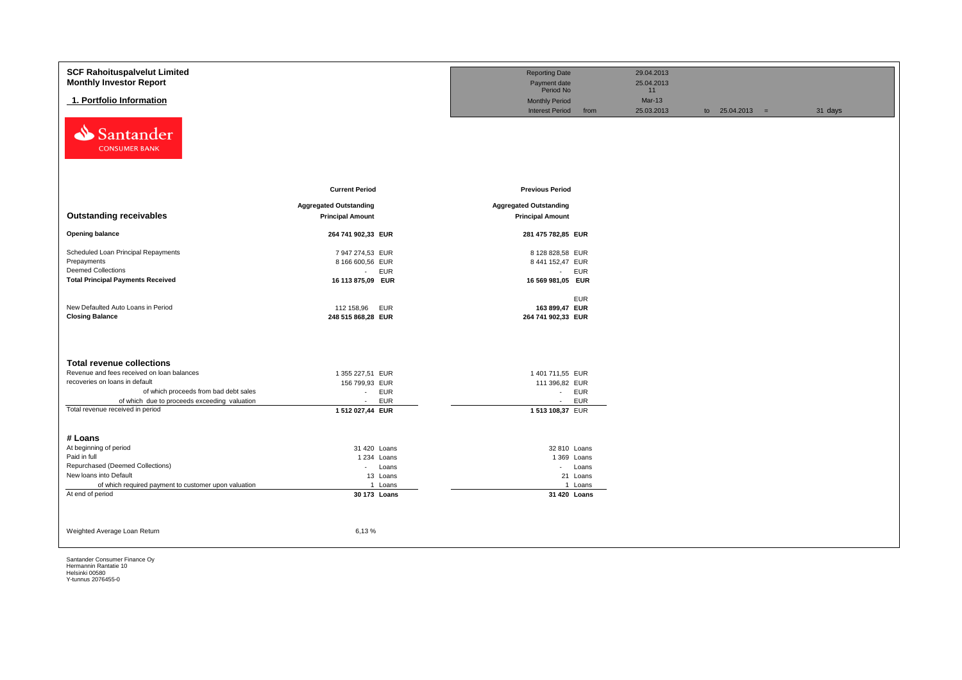| <b>SCF Rahoituspalvelut Limited</b>                  |                                                | <b>Reporting Date</b>          | 29.04.2013       |                   |         |
|------------------------------------------------------|------------------------------------------------|--------------------------------|------------------|-------------------|---------|
| <b>Monthly Investor Report</b>                       |                                                | Payment date<br>Period No      | 25.04.2013<br>11 |                   |         |
| 1. Portfolio Information                             |                                                | <b>Monthly Period</b>          | $Mar-13$         |                   |         |
|                                                      |                                                | <b>Interest Period</b><br>from | 25.03.2013       | to $25.04.2013 =$ | 31 days |
| Santander<br>⇘<br><b>CONSUMER BANK</b>               |                                                |                                |                  |                   |         |
|                                                      | <b>Current Period</b>                          | <b>Previous Period</b>         |                  |                   |         |
|                                                      |                                                |                                |                  |                   |         |
| <b>Outstanding receivables</b>                       | <b>Aggregated Outstanding</b>                  | <b>Aggregated Outstanding</b>  |                  |                   |         |
|                                                      | <b>Principal Amount</b>                        | <b>Principal Amount</b>        |                  |                   |         |
| <b>Opening balance</b>                               | 264 741 902,33 EUR                             | 281 475 782,85 EUR             |                  |                   |         |
| Scheduled Loan Principal Repayments                  | 7 947 274,53 EUR                               | 8 128 828,58 EUR               |                  |                   |         |
| Prepayments                                          | 8 166 600,56 EUR                               | 8 441 152,47 EUR               |                  |                   |         |
| <b>Deemed Collections</b>                            | <b>EUR</b><br>$\sim$                           | - EUR                          |                  |                   |         |
| <b>Total Principal Payments Received</b>             | 16 113 875,09 EUR                              | 16 569 981,05 EUR              |                  |                   |         |
|                                                      |                                                |                                |                  |                   |         |
| New Defaulted Auto Loans in Period                   |                                                | <b>EUR</b><br>163 899,47 EUR   |                  |                   |         |
| <b>Closing Balance</b>                               | 112 158,96<br><b>EUR</b><br>248 515 868,28 EUR | 264 741 902,33 EUR             |                  |                   |         |
|                                                      |                                                |                                |                  |                   |         |
|                                                      |                                                |                                |                  |                   |         |
| <b>Total revenue collections</b>                     |                                                |                                |                  |                   |         |
| Revenue and fees received on loan balances           | 1 355 227,51 EUR                               | 1 401 711,55 EUR               |                  |                   |         |
| recoveries on loans in default                       | 156 799,93 EUR                                 | 111 396,82 EUR                 |                  |                   |         |
| of which proceeds from bad debt sales                | <b>EUR</b><br>$\sim$                           | - EUR                          |                  |                   |         |
| of which due to proceeds exceeding valuation         | <b>EUR</b><br>$\sim$                           | <b>EUR</b><br>$\sim$           |                  |                   |         |
| Total revenue received in period                     | 1 512 027,44 EUR                               | 1 513 108,37 EUR               |                  |                   |         |
|                                                      |                                                |                                |                  |                   |         |
|                                                      |                                                |                                |                  |                   |         |
| # Loans<br>At beginning of period                    |                                                |                                |                  |                   |         |
| Paid in full                                         | 31 420 Loans<br>1 234 Loans                    | 32 810 Loans<br>1 369 Loans    |                  |                   |         |
| Repurchased (Deemed Collections)                     | - Loans                                        | - Loans                        |                  |                   |         |
| New loans into Default                               | 13 Loans                                       | 21 Loans                       |                  |                   |         |
| of which required payment to customer upon valuation | 1 Loans                                        | 1 Loans                        |                  |                   |         |
| At end of period                                     | 30 173 Loans                                   | 31 420 Loans                   |                  |                   |         |
|                                                      |                                                |                                |                  |                   |         |
|                                                      |                                                |                                |                  |                   |         |
| Weighted Average Loan Return                         | 6,13%                                          |                                |                  |                   |         |
|                                                      |                                                |                                |                  |                   |         |
|                                                      |                                                |                                |                  |                   |         |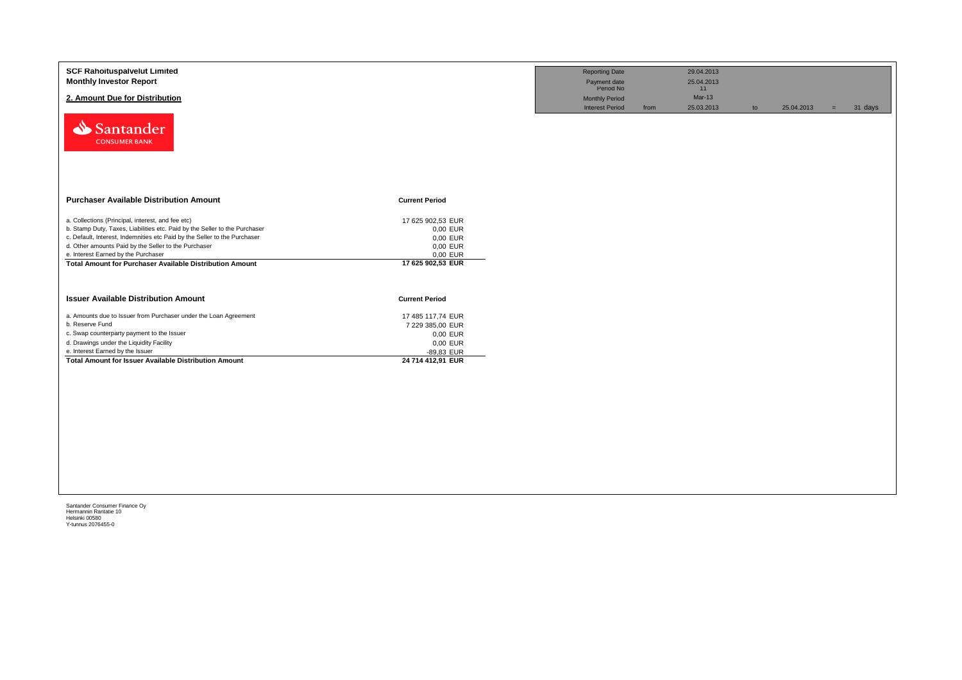| <b>SCF Rahoituspalvelut Limited</b><br><b>Monthly Investor Report</b><br>2. Amount Due for Distribution<br>Santander<br><b>CONSUMER BANK</b>                                                                                                                                                                                                                                   |                                                                                                  | <b>Reporting Date</b><br>Payment date<br>Period No<br><b>Monthly Period</b><br><b>Interest Period</b> | from | 29.04.2013<br>25.04.2013<br>11<br>$Mar-13$<br>25.03.2013 | to | 25.04.2013 | $=$ | 31 days |
|--------------------------------------------------------------------------------------------------------------------------------------------------------------------------------------------------------------------------------------------------------------------------------------------------------------------------------------------------------------------------------|--------------------------------------------------------------------------------------------------|-------------------------------------------------------------------------------------------------------|------|----------------------------------------------------------|----|------------|-----|---------|
| <b>Purchaser Available Distribution Amount</b>                                                                                                                                                                                                                                                                                                                                 | <b>Current Period</b>                                                                            |                                                                                                       |      |                                                          |    |            |     |         |
| a. Collections (Principal, interest, and fee etc)<br>b. Stamp Duty, Taxes, Liabilities etc. Paid by the Seller to the Purchaser<br>c. Default, Interest, Indemnities etc Paid by the Seller to the Purchaser<br>d. Other amounts Paid by the Seller to the Purchaser<br>e. Interest Earned by the Purchaser<br><b>Total Amount for Purchaser Available Distribution Amount</b> | 17 625 902,53 EUR<br>0,00 EUR<br>0,00 EUR<br>0,00 EUR<br>0,00 EUR<br>17 625 902,53 EUR           |                                                                                                       |      |                                                          |    |            |     |         |
| <b>Issuer Available Distribution Amount</b>                                                                                                                                                                                                                                                                                                                                    | <b>Current Period</b>                                                                            |                                                                                                       |      |                                                          |    |            |     |         |
| a. Amounts due to Issuer from Purchaser under the Loan Agreement<br>b. Reserve Fund<br>c. Swap counterparty payment to the Issuer<br>d. Drawings under the Liquidity Facility<br>e. Interest Earned by the Issuer<br><b>Total Amount for Issuer Available Distribution Amount</b>                                                                                              | 17 485 117,74 EUR<br>7 229 385,00 EUR<br>0,00 EUR<br>0,00 EUR<br>-89,83 EUR<br>24 714 412,91 EUR |                                                                                                       |      |                                                          |    |            |     |         |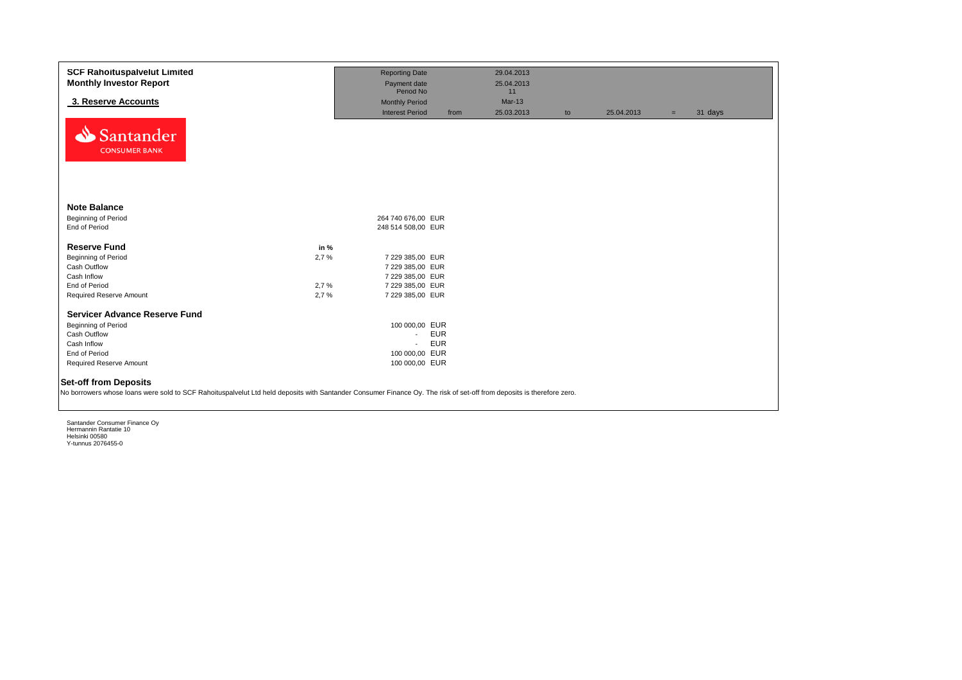| <b>SCF Rahoituspalvelut Limited</b><br><b>Monthly Investor Report</b>                                                                                                                                 |      | <b>Reporting Date</b><br>Payment date<br>Period No |            | 29.04.2013<br>25.04.2013<br>11 |    |            |     |         |
|-------------------------------------------------------------------------------------------------------------------------------------------------------------------------------------------------------|------|----------------------------------------------------|------------|--------------------------------|----|------------|-----|---------|
| 3. Reserve Accounts                                                                                                                                                                                   |      | <b>Monthly Period</b>                              |            | $Mar-13$                       |    |            |     |         |
| Santander<br><b>CONSUMER BANK</b>                                                                                                                                                                     |      | <b>Interest Period</b>                             | from       | 25.03.2013                     | to | 25.04.2013 | $=$ | 31 days |
| <b>Note Balance</b>                                                                                                                                                                                   |      |                                                    |            |                                |    |            |     |         |
| <b>Beginning of Period</b>                                                                                                                                                                            |      | 264 740 676,00 EUR                                 |            |                                |    |            |     |         |
| End of Period                                                                                                                                                                                         |      | 248 514 508,00 EUR                                 |            |                                |    |            |     |         |
| <b>Reserve Fund</b>                                                                                                                                                                                   | in % |                                                    |            |                                |    |            |     |         |
| Beginning of Period                                                                                                                                                                                   | 2,7% | 7 229 385,00 EUR                                   |            |                                |    |            |     |         |
| Cash Outflow                                                                                                                                                                                          |      | 7 229 385,00 EUR                                   |            |                                |    |            |     |         |
| Cash Inflow                                                                                                                                                                                           |      | 7 229 385,00 EUR                                   |            |                                |    |            |     |         |
| End of Period                                                                                                                                                                                         | 2,7% | 7 229 385,00 EUR                                   |            |                                |    |            |     |         |
| Required Reserve Amount                                                                                                                                                                               | 2,7% | 7 229 385,00 EUR                                   |            |                                |    |            |     |         |
| <b>Servicer Advance Reserve Fund</b>                                                                                                                                                                  |      |                                                    |            |                                |    |            |     |         |
| Beginning of Period                                                                                                                                                                                   |      | 100 000,00 EUR                                     |            |                                |    |            |     |         |
| Cash Outflow                                                                                                                                                                                          |      | $\sim$                                             | <b>EUR</b> |                                |    |            |     |         |
| Cash Inflow                                                                                                                                                                                           |      | $\mathbf{r}$                                       | <b>EUR</b> |                                |    |            |     |         |
| End of Period                                                                                                                                                                                         |      | 100 000,00 EUR                                     |            |                                |    |            |     |         |
| <b>Required Reserve Amount</b>                                                                                                                                                                        |      | 100 000,00 EUR                                     |            |                                |    |            |     |         |
| <b>Set-off from Deposits</b><br>No borrowers whose loans were sold to SCF Rahoituspalvelut Ltd held deposits with Santander Consumer Finance Oy. The risk of set-off from deposits is therefore zero. |      |                                                    |            |                                |    |            |     |         |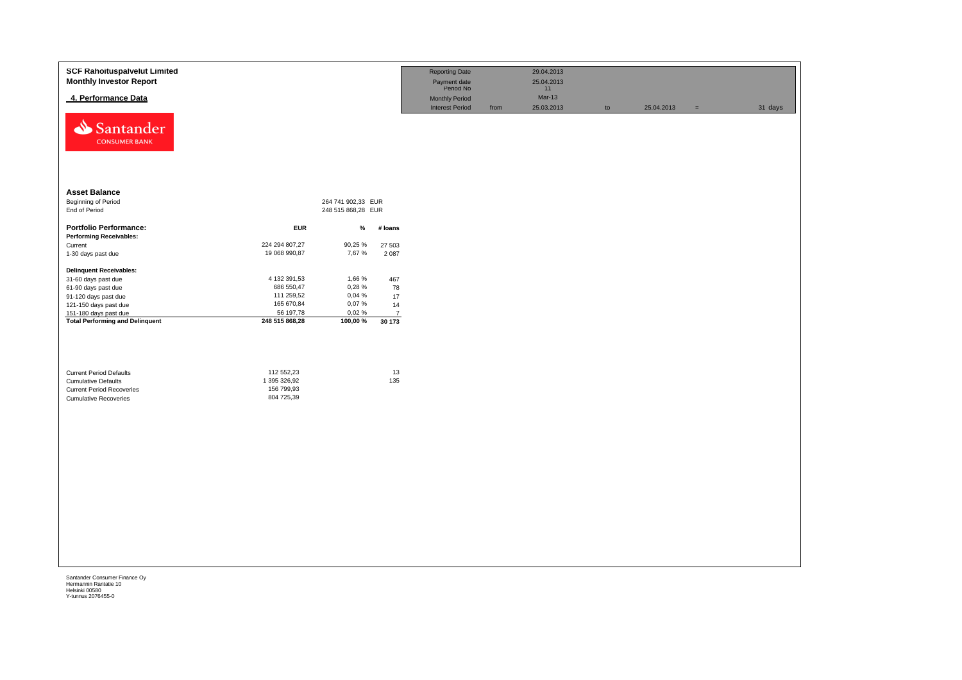| <b>SCF Rahoituspalvelut Limited</b><br><b>Monthly Investor Report</b> |                |                    |                | <b>Reporting Date</b><br>Payment date<br>Period No |      | 29.04.2013<br>25.04.2013<br>11 |    |            |          |         |
|-----------------------------------------------------------------------|----------------|--------------------|----------------|----------------------------------------------------|------|--------------------------------|----|------------|----------|---------|
| 4. Performance Data                                                   |                |                    |                | Monthly Period                                     |      | Mar-13                         |    |            |          |         |
| Santander<br><b>CONSUMER BANK</b>                                     |                |                    |                | <b>Interest Period</b>                             | from | 25.03.2013                     | to | 25.04.2013 | $\equiv$ | 31 days |
| <b>Asset Balance</b>                                                  |                |                    |                |                                                    |      |                                |    |            |          |         |
| <b>Beginning of Period</b>                                            |                | 264 741 902,33 EUR |                |                                                    |      |                                |    |            |          |         |
| End of Period                                                         |                | 248 515 868,28 EUR |                |                                                    |      |                                |    |            |          |         |
| <b>Portfolio Performance:</b>                                         | <b>EUR</b>     | %                  | # loans        |                                                    |      |                                |    |            |          |         |
| <b>Performing Receivables:</b>                                        |                |                    |                |                                                    |      |                                |    |            |          |         |
| Current                                                               | 224 294 807,27 | 90,25 %            | 27 503         |                                                    |      |                                |    |            |          |         |
| 1-30 days past due                                                    | 19 068 990,87  | 7,67 %             | 2 0 8 7        |                                                    |      |                                |    |            |          |         |
| <b>Delinquent Receivables:</b>                                        |                |                    |                |                                                    |      |                                |    |            |          |         |
| 31-60 days past due                                                   | 4 132 391,53   | 1,66 %             | 467            |                                                    |      |                                |    |            |          |         |
| 61-90 days past due                                                   | 686 550,47     | 0,28%              | 78             |                                                    |      |                                |    |            |          |         |
| 91-120 days past due                                                  | 111 259,52     | 0,04 %             | 17             |                                                    |      |                                |    |            |          |         |
| 121-150 days past due                                                 | 165 670,84     | 0,07%              | 14             |                                                    |      |                                |    |            |          |         |
| 151-180 days past due                                                 | 56 197,78      | 0,02%              | $\overline{7}$ |                                                    |      |                                |    |            |          |         |
| <b>Total Performing and Delinquent</b>                                | 248 515 868,28 | 100,00 %           | 30 173         |                                                    |      |                                |    |            |          |         |
| <b>Current Period Defaults</b>                                        | 112 552,23     |                    | 13             |                                                    |      |                                |    |            |          |         |
| <b>Cumulative Defaults</b>                                            | 1 395 326,92   |                    | 135            |                                                    |      |                                |    |            |          |         |
| <b>Current Period Recoveries</b>                                      | 156 799,93     |                    |                |                                                    |      |                                |    |            |          |         |
| <b>Cumulative Recoveries</b>                                          | 804 725,39     |                    |                |                                                    |      |                                |    |            |          |         |
|                                                                       |                |                    |                |                                                    |      |                                |    |            |          |         |
|                                                                       |                |                    |                |                                                    |      |                                |    |            |          |         |
|                                                                       |                |                    |                |                                                    |      |                                |    |            |          |         |
|                                                                       |                |                    |                |                                                    |      |                                |    |            |          |         |
|                                                                       |                |                    |                |                                                    |      |                                |    |            |          |         |
|                                                                       |                |                    |                |                                                    |      |                                |    |            |          |         |
|                                                                       |                |                    |                |                                                    |      |                                |    |            |          |         |
|                                                                       |                |                    |                |                                                    |      |                                |    |            |          |         |
|                                                                       |                |                    |                |                                                    |      |                                |    |            |          |         |
|                                                                       |                |                    |                |                                                    |      |                                |    |            |          |         |
|                                                                       |                |                    |                |                                                    |      |                                |    |            |          |         |
|                                                                       |                |                    |                |                                                    |      |                                |    |            |          |         |
|                                                                       |                |                    |                |                                                    |      |                                |    |            |          |         |
|                                                                       |                |                    |                |                                                    |      |                                |    |            |          |         |
|                                                                       |                |                    |                |                                                    |      |                                |    |            |          |         |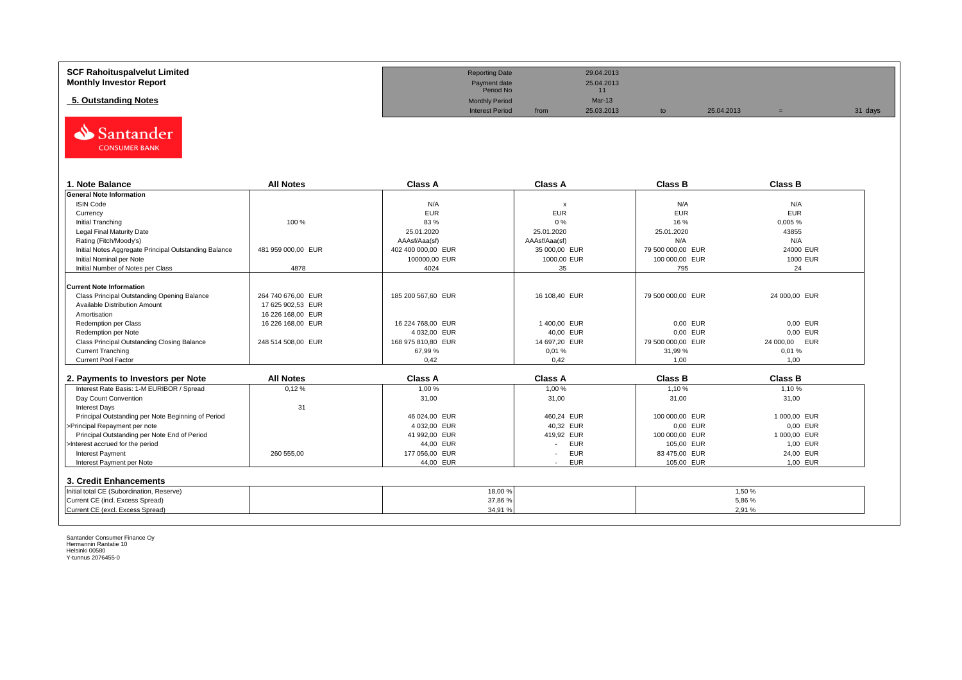| <b>SCF Rahoituspalvelut Limited</b> | <b>Reporting Date</b>     |      | 29.04.2013 |            |         |
|-------------------------------------|---------------------------|------|------------|------------|---------|
| <b>Monthly Investor Report</b>      | Payment date<br>Period No |      | 25.04.2013 |            |         |
| 5. Outstanding Notes                | <b>Monthly Period</b>     |      | $Mar-13$   |            |         |
|                                     | <b>Interest Period</b>    | from | 25.03.2013 | 25.04.2013 | 31 days |



| . Note Balance                                        | <b>All Notes</b>   | <b>Class A</b>     | <b>Class A</b>            | <b>Class B</b>    | <b>Class B</b> |
|-------------------------------------------------------|--------------------|--------------------|---------------------------|-------------------|----------------|
| <b>General Note Information</b>                       |                    |                    |                           |                   |                |
| <b>ISIN Code</b>                                      |                    | N/A                | $\boldsymbol{\mathsf{x}}$ | N/A               | N/A            |
| Currency                                              |                    | <b>EUR</b>         | <b>EUR</b>                | <b>EUR</b>        | <b>EUR</b>     |
| Initial Tranching                                     | 100 %              | 83 %               | 0%                        | 16 %              | 0,005%         |
| Legal Final Maturity Date                             |                    | 25.01.2020         | 25.01.2020                | 25.01.2020        | 43855          |
| Rating (Fitch/Moody's)                                |                    | AAAsf/Aaa(sf)      | AAAsf/Aaa(sf)             | N/A               | N/A            |
| Initial Notes Aggregate Principal Outstanding Balance | 481 959 000.00 EUR | 402 400 000.00 EUR | 35 000.00 EUR             | 79 500 000.00 EUR | 24000 EUR      |
| Initial Nominal per Note                              |                    | 100000,00 EUR      | 1000,00 EUR               | 100 000,00 EUR    | 1000 EUR       |
| Initial Number of Notes per Class                     | 4878               | 4024               | 35                        | 795               | 24             |
|                                                       |                    |                    |                           |                   |                |
| <b>Current Note Information</b>                       |                    |                    |                           |                   |                |
| Class Principal Outstanding Opening Balance           | 264 740 676.00 EUR | 185 200 567,60 EUR | 16 108,40 EUR             | 79 500 000,00 EUR | 24 000,00 EUR  |
| Available Distribution Amount                         | 17 625 902.53 EUR  |                    |                           |                   |                |
| Amortisation                                          | 16 226 168.00 EUR  |                    |                           |                   |                |
| Redemption per Class                                  | 16 226 168,00 EUR  | 16 224 768,00 EUR  | 1400,00 EUR               | 0,00 EUR          | 0.00 EUR       |
| Redemption per Note                                   |                    | 4 032,00 EUR       | 40,00 EUR                 | 0,00 EUR          | 0.00 EUR       |
| Class Principal Outstanding Closing Balance           | 248 514 508,00 EUR | 168 975 810,80 EUR | 14 697,20 EUR             | 79 500 000,00 EUR | 24 000,00 EUR  |
| <b>Current Tranching</b>                              |                    | 67.99 %            | 0,01%                     | 31.99%            | 0.01%          |
| <b>Current Pool Factor</b>                            |                    | 0.42               | 0.42                      | 1.00              | 1.00           |

| 2. Payments to Investors per Note                  | <b>All Notes</b> | <b>Class A</b> | <b>Class A</b>                         | <b>Class B</b> | <b>Class B</b> |
|----------------------------------------------------|------------------|----------------|----------------------------------------|----------------|----------------|
| Interest Rate Basis: 1-M EURIBOR / Spread          | 0,12%            | 1,00 %         | 1.00 %                                 | 1.10%          | 1,10 %         |
| Day Count Convention                               |                  | 31,00          | 31,00                                  | 31,00          | 31,00          |
| Interest Davs                                      | 31               |                |                                        |                |                |
| Principal Outstanding per Note Beginning of Period |                  | 46 024.00 EUR  | 460.24 EUR                             | 100 000,00 EUR | 1 000.00 EUR   |
| >Principal Repayment per note                      |                  | 4 032,00 EUR   | 40.32 EUR                              | 0.00 EUR       | 0.00 EUR       |
| Principal Outstanding per Note End of Period       |                  | 41 992.00 EUR  | 419.92 EUR                             | 100 000,00 EUR | 1 000.00 EUR   |
| >Interest accrued for the period                   |                  | 44.00 EUR      | <b>EUR</b>                             | 105.00 EUR     | 1.00 EUR       |
| <b>Interest Payment</b>                            | 260 555.00       | 177 056,00 EUR | <b>EUR</b><br>$\overline{\phantom{a}}$ | 83 475.00 EUR  | 24.00 EUR      |
| Interest Payment per Note                          |                  | 44,00 EUR      | <b>EUR</b>                             | 105.00 EUR     | 1,00 EUR       |
| 3. Credit Enhancements                             |                  |                |                                        |                |                |
| Initial total CE (Subordination, Reserve)          |                  |                | 18,00 %                                |                | 1,50%          |
| Current CE (incl. Excess Spread)                   |                  |                | 37,86%                                 |                | 5.86%          |
| Current CE (excl. Excess Spread)                   |                  |                | 34,91 %                                |                | 2,91%          |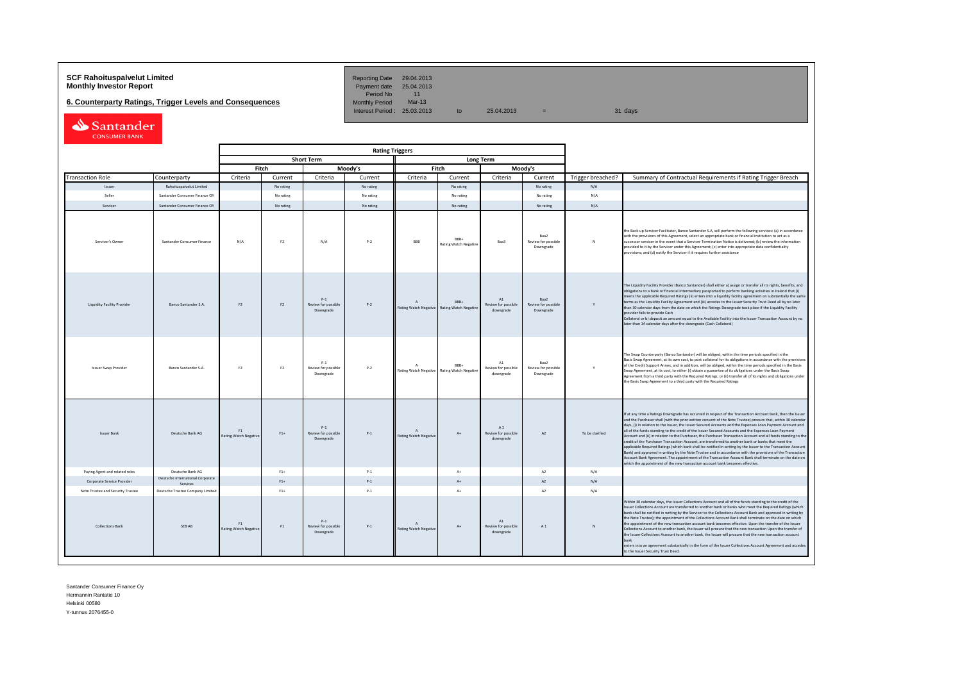# **SCF Rahoituspalvelut Limited Reporting Date 29.04.2013**<br> **Monthly Investor Report** Payment date 25.04.2013

**6. Counterparty Ratings, Trigger Levels and Consequences** 

Period No 11<br>Monthly Period Mar-13 Interest Period:  $25.03.2013$  to  $25.04.2013$  =

| Santander            |  |
|----------------------|--|
| <b>CONSUMER BANK</b> |  |

| <b>Rating Triggers</b>             |                                              |                                    |                |                                           |           |                                              |                                      |                                                    |                                          |                   |                                                                                                                                                                                                                                                                                                                                                                                                                                                                                                                                                                                                                                                                                                                                                                                                                                                                                                                                                                                                                                                                                                      |
|------------------------------------|----------------------------------------------|------------------------------------|----------------|-------------------------------------------|-----------|----------------------------------------------|--------------------------------------|----------------------------------------------------|------------------------------------------|-------------------|------------------------------------------------------------------------------------------------------------------------------------------------------------------------------------------------------------------------------------------------------------------------------------------------------------------------------------------------------------------------------------------------------------------------------------------------------------------------------------------------------------------------------------------------------------------------------------------------------------------------------------------------------------------------------------------------------------------------------------------------------------------------------------------------------------------------------------------------------------------------------------------------------------------------------------------------------------------------------------------------------------------------------------------------------------------------------------------------------|
|                                    | <b>Short Term</b><br><b>Long Term</b>        |                                    |                |                                           |           |                                              |                                      |                                                    |                                          |                   |                                                                                                                                                                                                                                                                                                                                                                                                                                                                                                                                                                                                                                                                                                                                                                                                                                                                                                                                                                                                                                                                                                      |
|                                    |                                              |                                    | Fitch          |                                           | Moody's   | Fitch<br>Moody's                             |                                      |                                                    |                                          |                   |                                                                                                                                                                                                                                                                                                                                                                                                                                                                                                                                                                                                                                                                                                                                                                                                                                                                                                                                                                                                                                                                                                      |
| <b>Transaction Role</b>            | Counterparty                                 | Criteria                           | Current        | Criteria                                  | Current   | Criteria                                     | Current                              | Criteria                                           | Current                                  | Trigger breached? | Summary of Contractual Requirements if Rating Trigger Breach                                                                                                                                                                                                                                                                                                                                                                                                                                                                                                                                                                                                                                                                                                                                                                                                                                                                                                                                                                                                                                         |
| Issuer                             | Rahoituspalvelut Limited                     |                                    | No rating      |                                           | No rating |                                              | No rating                            |                                                    | No rating                                | N/A               |                                                                                                                                                                                                                                                                                                                                                                                                                                                                                                                                                                                                                                                                                                                                                                                                                                                                                                                                                                                                                                                                                                      |
| Seller                             | Santander Consumer Finance OY                |                                    | No rating      |                                           | No rating |                                              | No rating                            |                                                    | No rating                                | N/A               |                                                                                                                                                                                                                                                                                                                                                                                                                                                                                                                                                                                                                                                                                                                                                                                                                                                                                                                                                                                                                                                                                                      |
| Servicer                           | Santander Consumer Finance OY                |                                    | No rating      |                                           | No rating |                                              | No rating                            |                                                    | No rating                                | N/A               |                                                                                                                                                                                                                                                                                                                                                                                                                                                                                                                                                                                                                                                                                                                                                                                                                                                                                                                                                                                                                                                                                                      |
| Servicer's Owner                   | Santander Consumer Finance                   | N/A                                | F <sub>2</sub> | N/A                                       | $P-2$     | <b>RRR</b>                                   | RRR.<br><b>Rating Watch Negative</b> | Baa3                                               | Raa2<br>Review for possible<br>Downgrade | N                 | the Back-up Servicer Facilitator, Banco Santander S.A, will perform the following services: (a) in accordance<br>with the provisions of this Agreement, select an appropriate bank or financial institution to act as a<br>successor servicer in the event that a Servicer Termination Notice is delivered; (b) review the information<br>provided to it by the Servicer under this Agreement; (c) enter into appropriate data confidentiality<br>provisions; and (d) notify the Servicer if it requires further assistance                                                                                                                                                                                                                                                                                                                                                                                                                                                                                                                                                                          |
| <b>Liquidity Facility Provider</b> | Banco Santander S.A.                         | F <sub>2</sub>                     | F <sub>2</sub> | $P-1$<br>Review for possible<br>Downgrade | $P-2$     | $\mathbf{A}$<br>Rating Watch Negative        | BBB+<br><b>Rating Watch Negativ</b>  | A1<br>Review for possible<br>downgrade             | Baa2<br>Review for possible<br>Downgrade | Y                 | The Liquidity Facility Provider (Banco Santander) shall either a) assign or transfer all its rights, benefits, and<br>obligations to a bank or financial intermediary passported to perform banking activities in Ireland that (i)<br>meets the applicable Required Ratings (ii) enters into a liquidity facility agreement on substantially the same<br>terms as the Liquidity Facility Agreement and (iii) accedes to the Issuer Security Trust Deed all by no later<br>than 30 calendar days from the date on which the Ratings Downgrade took place if the Liquidity Facility<br>provider fails to provide Cash<br>Collateral or b) deposit an amount equal to the Available Facility into the Issuer Transaction Account by no<br>later than 14 calendar days after the downgrade (Cash Collateral)                                                                                                                                                                                                                                                                                             |
| <b>Issuer Swap Provider</b>        | Banco Santander S.A.                         | F <sub>2</sub>                     | F2             | $P-1$<br>Review for possible<br>Downgrade | $P-2$     | $\Lambda$<br>Rating Watch Negative           | RRR+<br><b>Rating Watch Negative</b> | A1<br>Review for possible<br>downgrade             | Raa2<br>Review for possible<br>Downgrade | Y                 | The Swap Counterparty (Banco Santander) will be obliged, within the time periods specified in the<br>Basis Swap Agreement, at its own cost, to post collateral for its obligations in accordance with the provisions<br>of the Credit Support Annex, and in addition, will be obliged, within the time periods specified in the Basis<br>Swap Agreement, at its cost, to either (i) obtain a guarantee of its obligations under the Basis Swap<br>Agreement from a third party with the Required Ratings; or (ii) transfer all of its rights and obligations under<br>the Basis Swap Agreement to a third party with the Required Ratings                                                                                                                                                                                                                                                                                                                                                                                                                                                            |
| <b>Issuer Bank</b>                 | Deutsche Bank AG                             | F1<br><b>Rating Watch Negative</b> | $F1+$          | $P-1$<br>Review for possible<br>Downgrade | $P-1$     | $\mathsf{A}$<br><b>Rating Watch Negative</b> | $A+$                                 | A <sub>1</sub><br>Review for possible<br>downgrade | A2                                       | To be clarified   | If at any time a Ratings Downgrade has occurred in respect of the Transaction Account Bank, then the Issuer<br>and the Purchaser shall (with the prior written consent of the Note Trustee) procure that, within 30 calendar<br>days, (i) in relation to the Issuer, the Issuer Secured Accounts and the Expenses Loan Payment Account and<br>all of the funds standing to the credit of the Issuer Secured Accounts and the Expenses Loan Payment<br>Account and (ii) in relation to the Purchaser, the Purchaser Transaction Account and all funds standing to the<br>credit of the Purchaser Transaction Account, are transferred to another bank or banks that meet the<br>applicable Required Ratings (which bank shall be notified in writing by the Issuer to the Transaction Account<br>Bank) and approved in writing by the Note Trustee and in accordance with the provisions of the Transaction<br>Account Bank Agreement. The appointment of the Transaction Account Bank shall terminate on the date on<br>which the appointment of the new transaction account bank becomes effective. |
| Paying Agent and related roles     | Deutsche Bank AG                             |                                    | $F1+$          |                                           | $P-1$     |                                              | $\Lambda +$                          |                                                    | A2                                       | N/A               |                                                                                                                                                                                                                                                                                                                                                                                                                                                                                                                                                                                                                                                                                                                                                                                                                                                                                                                                                                                                                                                                                                      |
| Corporate Service Provider         | Deutsche International Corporate<br>Services |                                    | $F1+$          |                                           | $P-1$     |                                              | $\Lambda +$                          |                                                    | A2                                       | N/A               |                                                                                                                                                                                                                                                                                                                                                                                                                                                                                                                                                                                                                                                                                                                                                                                                                                                                                                                                                                                                                                                                                                      |
| Note Trustee and Security Trustee  | Deutsche Trustee Company Limited             |                                    | $F1+$          |                                           | $P-1$     |                                              | $A+$                                 |                                                    | A2                                       | N/A               |                                                                                                                                                                                                                                                                                                                                                                                                                                                                                                                                                                                                                                                                                                                                                                                                                                                                                                                                                                                                                                                                                                      |
| <b>Collections Bank</b>            | SEB AB                                       | F1<br>Rating Watch Negative        | F1             | $P-1$<br>Review for possible<br>Downgrade | $P-1$     | Rating Watch Negative                        | $A+$                                 | A1<br>Review for possible<br>downgrade             | A1                                       | $\mathbb{N}$      | Within 30 calendar days, the Issuer Collections Account and all of the funds standing to the credit of the<br>Issuer Collections Account are transferred to another bank or banks who meet the Required Ratings (which<br>bank shall be notified in writing by the Servicer to the Collections Account Bank and approved in writing by<br>the Note Trustee); the appointment of the Collections Account Bank shall terminate on the date on which<br>the appointment of the new transaction account bank becomes effective. Upon the transfer of the Issuer<br>Collections Account to another bank, the Issuer will procure that the new transaction Upon the transfer of<br>the Issuer Collections Acoount to another bank, the Issuer will procure that the new transaction account<br>enters into an agreement substantially in the form of the Issuer Collections Account Agreement and accedes<br>to the Issuer Security Trust Deed.                                                                                                                                                            |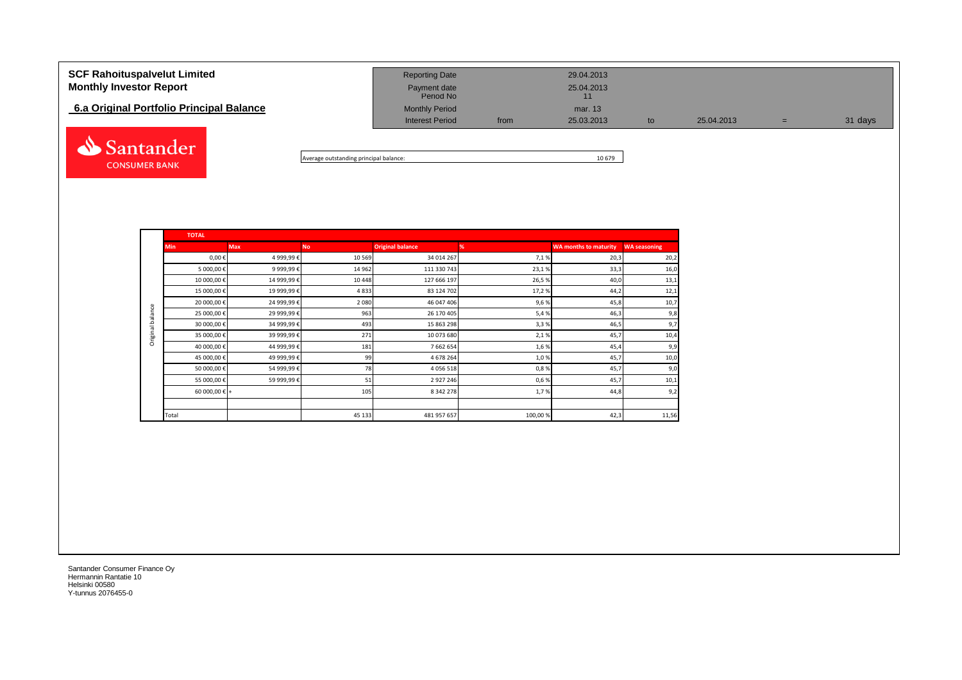| <b>SCF Rahoituspalvelut Limited</b><br><b>Monthly Investor Report</b> | <b>Reporting Date</b><br>Payment date<br>Period No |      | 29.04.2013<br>25.04.2013<br>11 |    |            |   |         |
|-----------------------------------------------------------------------|----------------------------------------------------|------|--------------------------------|----|------------|---|---------|
| 6.a Original Portfolio Principal Balance                              | <b>Monthly Period</b>                              |      | mar. 13                        |    |            |   |         |
|                                                                       | <b>Interest Period</b>                             | from | 25.03.2013                     | to | 25.04.2013 | = | 31 days |
| Santander                                                             |                                                    |      |                                |    |            |   |         |

Average outstanding principal balance: 10 679

|                  | <b>TOTAL</b>           |             |           |                         |         |                              |                     |  |  |  |  |  |
|------------------|------------------------|-------------|-----------|-------------------------|---------|------------------------------|---------------------|--|--|--|--|--|
|                  | <b>Min</b>             | <b>Max</b>  | <b>No</b> | <b>Original balance</b> | %       | <b>WA months to maturity</b> | <b>WA seasoning</b> |  |  |  |  |  |
|                  | $0,00 \in$             | 4 999,99€   | 10 5 69   | 34 014 267              | 7,1%    | 20,3                         | 20,2                |  |  |  |  |  |
|                  | 5 000,00 €             | 9 999,99€   | 14 962    | 111 330 743             | 23,1%   | 33,3                         | 16,0                |  |  |  |  |  |
|                  | 10 000,00€             | 14 999,99€  | 10 4 48   | 127 666 197             | 26,5%   | 40,0                         | 13,1                |  |  |  |  |  |
|                  | 15 000,00€             | 19 999,99€  | 4833      | 83 124 702              | 17,2%   | 44,2                         | 12,1                |  |  |  |  |  |
|                  | 20 000,00€             | 24 999,99€  | 2 0 8 0   | 46 047 406              | 9,6%    | 45,8                         | 10,7                |  |  |  |  |  |
| Original balance | 25 000,00 €            | 29 999,99€  | 963       | 26 170 405              | 5,4%    | 46,3                         | 9,8                 |  |  |  |  |  |
|                  | 30 000,00€             | 34 999,99€  | 493       | 15 863 298              | 3,3%    | 46,5                         | 9,7                 |  |  |  |  |  |
|                  | 35 000,00 €            | 39 999,99 € | 271       | 10 073 680              | 2,1%    | 45,7                         | 10,4                |  |  |  |  |  |
|                  | 40 000,00€             | 44 999,99 € | 181       | 7 662 654               | 1,6%    | 45,4                         | 9,9                 |  |  |  |  |  |
|                  | 45 000,00 €            | 49 999,99€  | 99        | 4 678 264               | 1,0%    | 45,7                         | 10,0                |  |  |  |  |  |
|                  | 50 000,00 €            | 54 999,99€  | 78        | 4 0 5 6 5 1 8           | 0,8%    | 45,7                         | 9,0                 |  |  |  |  |  |
|                  | 55 000,00 €            | 59 999,99 € | 51        | 2 9 2 7 2 4 6           | 0,6%    | 45,7                         | 10,1                |  |  |  |  |  |
|                  | 60 000,00 $\epsilon$ + |             | 105       | 8 342 278               | 1,7%    | 44,8                         | 9,2                 |  |  |  |  |  |
|                  |                        |             |           |                         |         |                              |                     |  |  |  |  |  |
|                  | Total                  |             | 45 133    | 481 957 657             | 100,00% | 42,3                         | 11,56               |  |  |  |  |  |

Santander Consumer Finance Oy Hermannin Rantatie 10 Helsinki 00580 Y-tunnus 2076455-0

**CONSUMER BANK**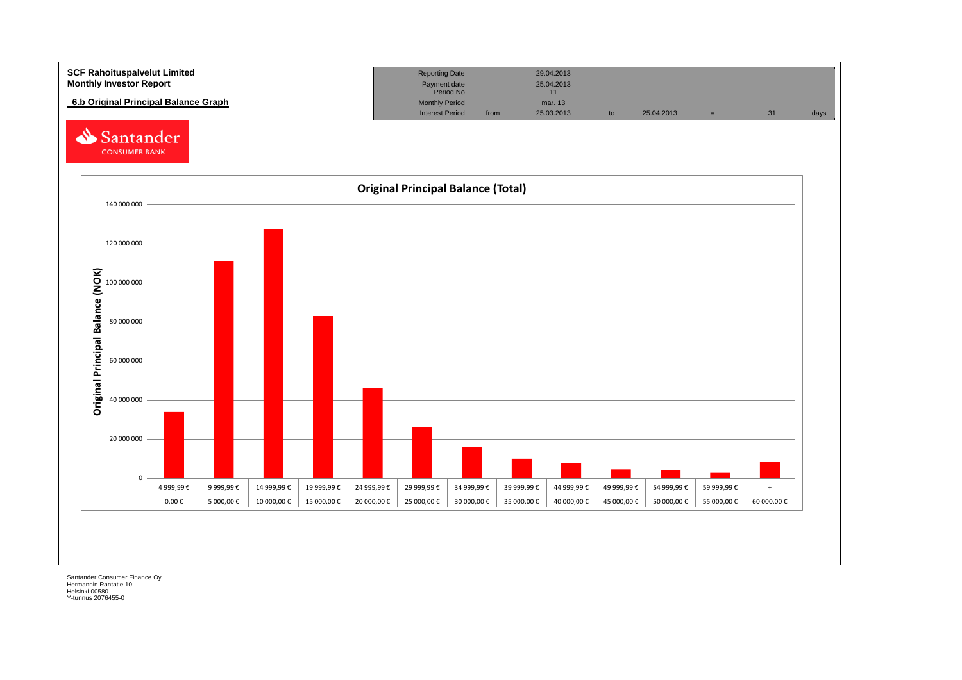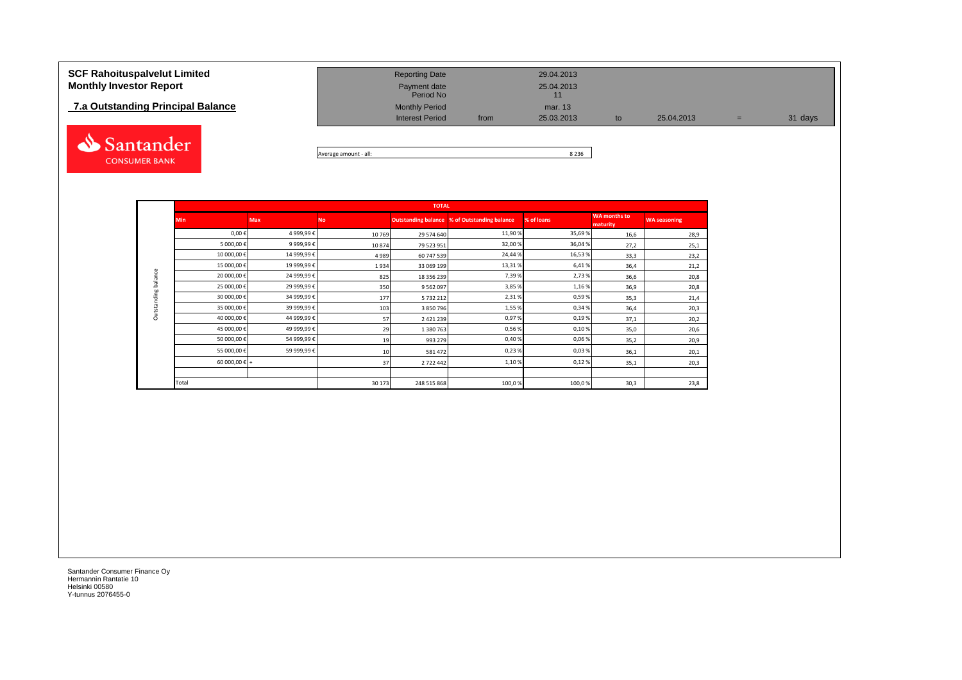# **7.a Outstanding Principal Balance**



| <b>SCF Rahoituspalvelut Limited</b><br><b>Monthly Investor Report</b> | <b>Reporting Date</b><br>Payment date<br>Period No |      | 29.04.2013<br>25.04.2013 |    |            |     |         |
|-----------------------------------------------------------------------|----------------------------------------------------|------|--------------------------|----|------------|-----|---------|
| 7.a Outstanding Principal Balance                                     | <b>Monthly Period</b><br><b>Interest Period</b>    | from | mar. 13<br>25.03.2013    | to | 25.04.2013 | $=$ | 31 days |
|                                                                       |                                                    |      |                          |    |            |     |         |

Average amount - all: 8 236

|                     |               |            |           | <b>TOTAL</b>  |                                              |            |                                 |                     |
|---------------------|---------------|------------|-----------|---------------|----------------------------------------------|------------|---------------------------------|---------------------|
|                     | <b>Min</b>    | <b>Max</b> | <b>No</b> |               | Outstanding balance % of Outstanding balance | % of loans | <b>WA months to</b><br>maturity | <b>WA seasoning</b> |
|                     | $0,00 \in$    | 4 999,99€  | 10769     | 29 574 640    | 11,90%                                       | 35,69%     | 16,6                            | 28,9                |
|                     | 5 000,00€     | 9 999,99€  | 10874     | 79 523 951    | 32,00%                                       | 36,04%     | 27,2                            | 25,1                |
|                     | 10 000,00€    | 14 999,99€ | 4989      | 60 747 539    | 24,44 %                                      | 16,53%     | 33,3                            | 23,2                |
|                     | 15 000,00€    | 19 999,99€ | 1934      | 33 069 199    | 13,31 %                                      | 6,41%      | 36,4                            | 21,2                |
| Outstanding balance | 20 000,00 €   | 24 999,99€ | 825       | 18 356 239    | 7,39%                                        | 2,73%      | 36,6                            | 20,8                |
|                     | 25 000,00€    | 29 999,99€ | 350       | 9 5 6 2 0 9 7 | 3,85%                                        | 1,16%      | 36,9                            | 20,8                |
|                     | 30 000,00€    | 34 999,99€ | 177       | 5 7 3 2 2 1 2 | 2,31%                                        | 0,59%      | 35,3                            | 21,4                |
|                     | 35 000,00€    | 39 999,99€ | 103       | 3 850 796     | 1,55%                                        | 0,34%      | 36,4                            | 20,3                |
|                     | 40 000,00€    | 44 999,99€ | 57        | 2 4 2 1 2 3 9 | 0,97%                                        | 0,19%      | 37,1                            | 20,2                |
|                     | 45 000,00€    | 49 999,99€ | 29        | 1 380 763     | 0,56%                                        | 0,10%      | 35,0                            | 20,6                |
|                     | 50 000,00€    | 54 999,99€ | 19        | 993 279       | 0,40%                                        | 0,06%      | 35,2                            | 20,9                |
|                     | 55 000,00€    | 59 999,99€ | 10        | 581 472       | 0,23%                                        | 0,03%      | 36,1                            | 20,1                |
|                     | 60 000,00 € + |            | 37        | 2 722 442     | 1,10%                                        | 0,12%      | 35,1                            | 20,3                |
|                     |               |            |           |               |                                              |            |                                 |                     |
|                     | Total         |            | 30 173    | 248 515 868   | 100,0%                                       | 100,0%     | 30,3                            | 23,8                |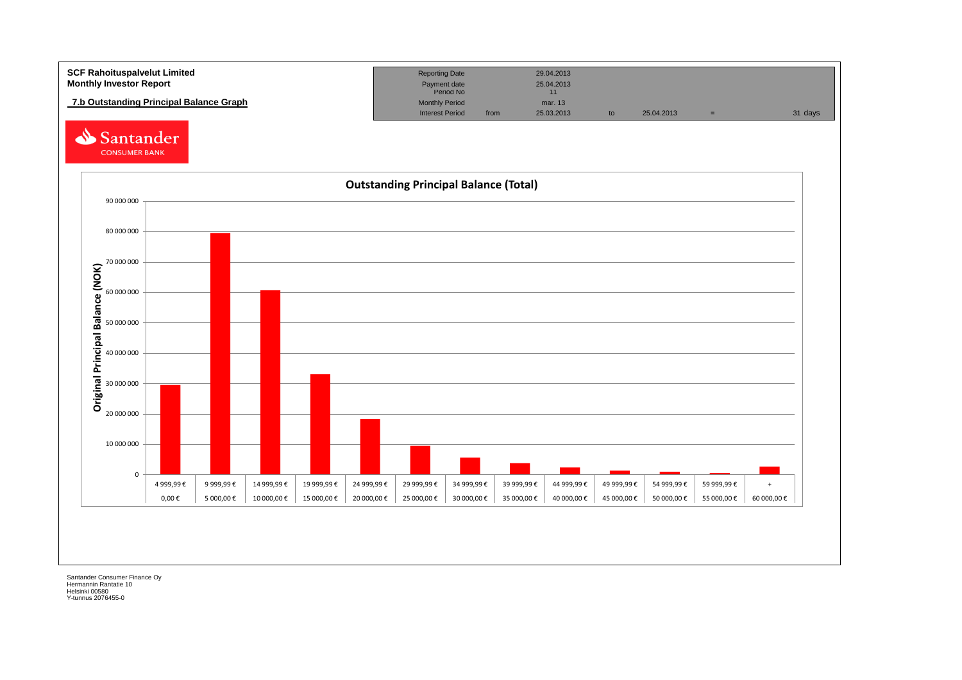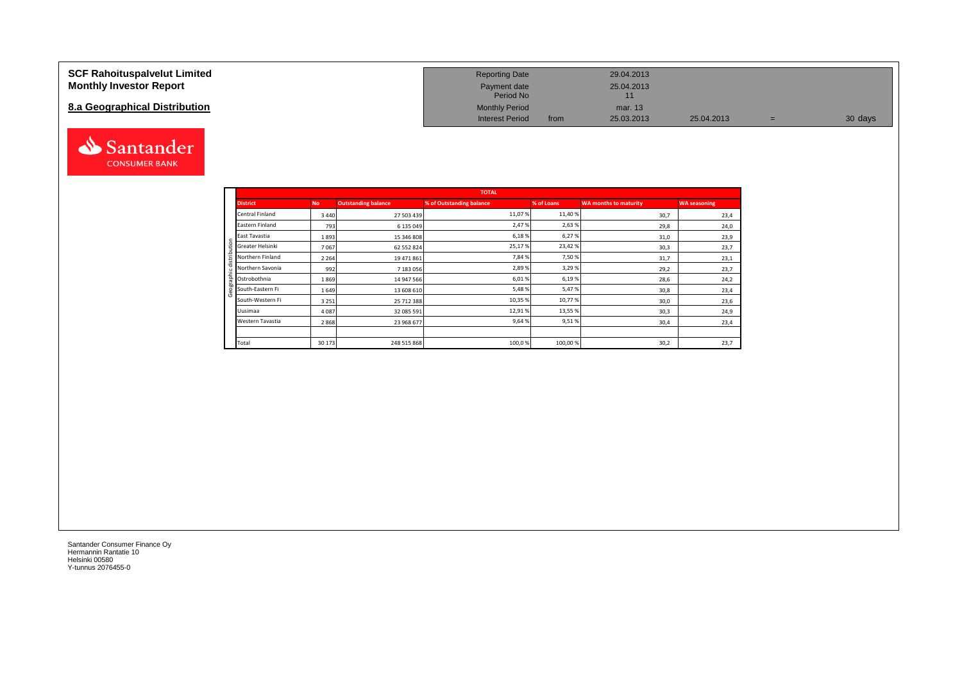#### **SCF Rahoituspalvelut Limited Monthly Investor Report**

### **8.a Geographical Distribution**



| <b>Reporting Date</b>     |      | 29.04.2013       |            |   |         |
|---------------------------|------|------------------|------------|---|---------|
| Payment date<br>Period No |      | 25.04.2013<br>11 |            |   |         |
| <b>Monthly Period</b>     |      | mar. 13          |            |   |         |
| <b>Interest Period</b>    | from | 25.03.2013       | 25.04.2013 | = | 30 days |

|                          |           |                            | <b>TOTAL</b>             |            |                              |                     |
|--------------------------|-----------|----------------------------|--------------------------|------------|------------------------------|---------------------|
| <b>District</b>          | <b>No</b> | <b>Outstanding balance</b> | % of Outstanding balance | % of Loans | <b>WA months to maturity</b> | <b>WA seasoning</b> |
| Central Finland          | 3 4 4 0   | 27 503 439                 | 11,07%                   | 11,40 %    | 30,7                         | 23,4                |
| Eastern Finland          | 793       | 6 135 049                  | 2,47%                    | 2,63%      | 29,8                         | 24,0                |
| East Tavastia            | 1893      | 15 346 808                 | 6,18%                    | 6,27%      | 31,0                         | 23,9                |
| tion<br>Greater Helsinki | 7067      | 62 552 824                 | 25,17%                   | 23,42%     | 30,3                         | 23,7                |
| Northern Finland         | 2 2 6 4   | 19 471 861                 | 7,84 %                   | 7,50%      | 31,7                         | 23,1                |
| Northern Savonia         | 992       | 7 183 056                  | 2,89%                    | 3,29%      | 29,2                         | 23,7                |
| 횹<br>Ostrobothnia        | 1869      | 14 947 566                 | 6,01%                    | 6,19%      | 28,6                         | 24,2                |
| South-Eastern Fi<br>O    | 1649      | 13 608 610                 | 5,48%                    | 5,47%      | 30,8                         | 23,4                |
| South-Western Fi         | 3 2 5 1   | 25 712 388                 | 10,35 %                  | 10,77%     | 30,0                         | 23,6                |
| Uusimaa                  | 4 0 8 7   | 32 085 591                 | 12,91%                   | 13,55 %    | 30,3                         | 24,9                |
| Western Tavastia         | 2868      | 23 968 677                 | 9,64%                    | 9,51%      | 30,4                         | 23,4                |
|                          |           |                            |                          |            |                              |                     |
| Total                    | 30 173    | 248 515 868                | 100,0%                   | 100,00%    | 30,2                         | 23,7                |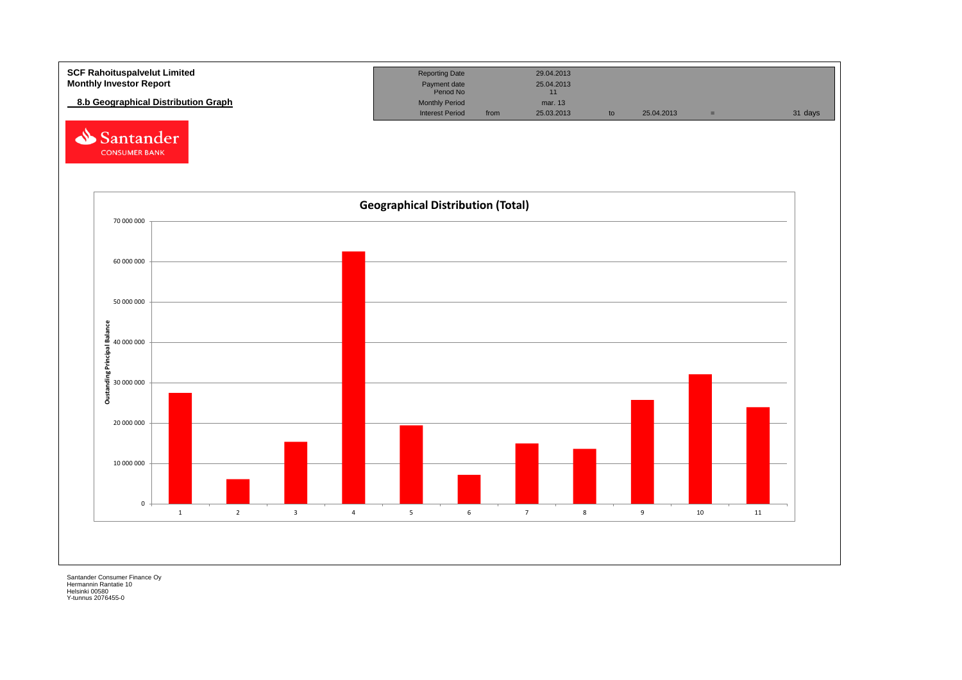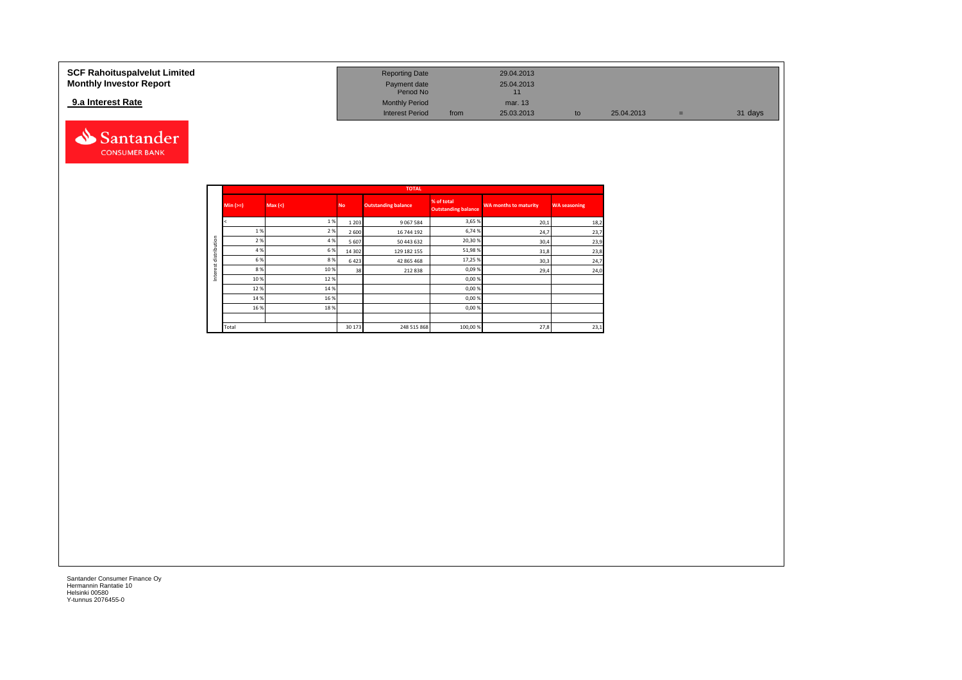### **9.a Interest Rate**



| SCF Rahoituspalvelut Limited   | <b>Reporting Date</b>     |      | 29.04.2013 |            |         |
|--------------------------------|---------------------------|------|------------|------------|---------|
| <b>Monthly Investor Report</b> | Payment date<br>Period No |      | 25.04.2013 |            |         |
| 9.a Interest Rate              | <b>Monthly Period</b>     |      | mar. 13    |            |         |
|                                | <b>Interest Period</b>    | from | 25.03.2013 | 25.04.2013 | 31 days |

|              |            |        |           | <b>TOTAL</b>               |                                          |                              |                     |
|--------------|------------|--------|-----------|----------------------------|------------------------------------------|------------------------------|---------------------|
|              | $Min (>=)$ | Max(<) | <b>No</b> | <b>Outstanding balance</b> | % of total<br><b>Outstanding balance</b> | <b>WA months to maturity</b> | <b>WA seasoning</b> |
|              |            | 1%     | 1 2 0 3   | 9 0 67 5 84                | 3,65 %                                   | 20,1                         | 18,2                |
|              | 1%         | 2%     | 2 6 0 0   | 16 744 192                 | 6,74 %                                   | 24,7                         | 23,7                |
| distribution | 2%         | 4 %    | 5 6 0 7   | 50 443 632                 | 20,30%                                   | 30,4                         | 23,9                |
|              | 4 %        | 6%     | 14 302    | 129 182 155                | 51,98 %                                  | 31,8                         | 23,8                |
| ă            | 6 %        | 8%     | 6423      | 42 865 468                 | 17,25 %                                  | 30,3                         | 24,7                |
|              | 8%         | 10 %   | 38        | 212838                     | 0,09%                                    | 29,4                         | 24,0                |
| Inter        | 10 %       | 12%    |           |                            | 0,00 %                                   |                              |                     |
|              | 12%        | 14 %   |           |                            | 0,00%                                    |                              |                     |
|              | 14 %       | 16 %   |           |                            | 0,00%                                    |                              |                     |
|              | 16 %       | 18%    |           |                            | 0,00%                                    |                              |                     |
|              |            |        |           |                            |                                          |                              |                     |
|              | Total      |        | 30 173    | 248 515 868                | 100,00 %                                 | 27,8                         | 23,1                |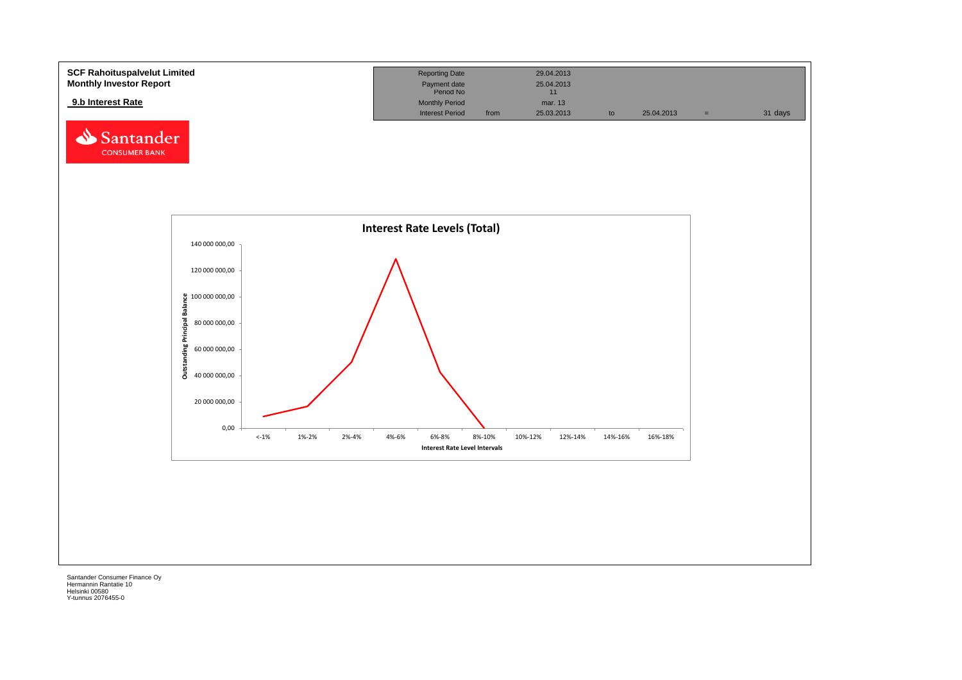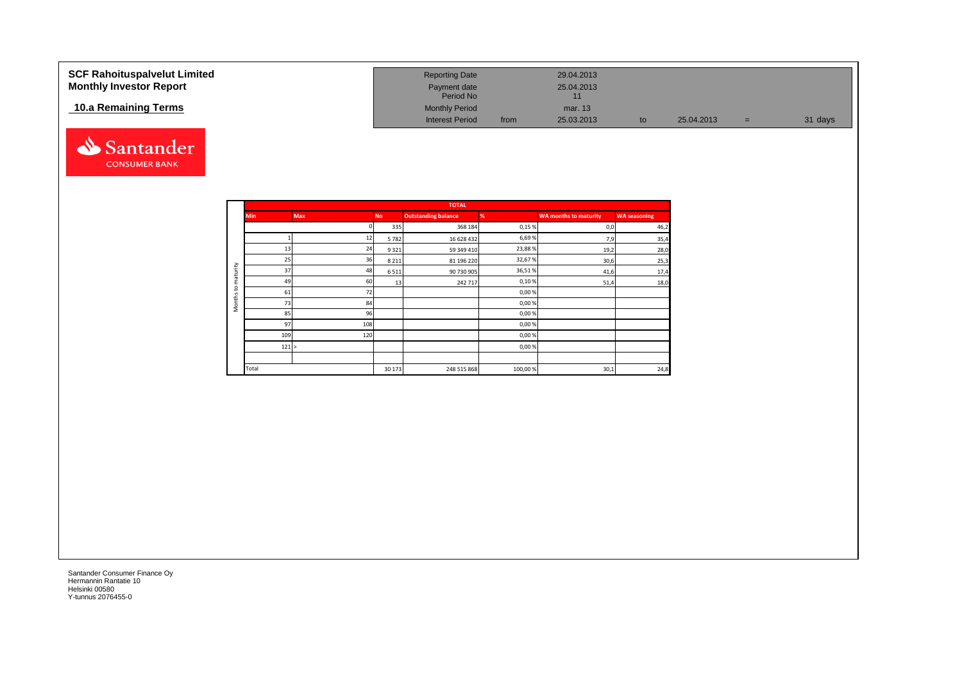| <b>SCF Rahoituspalvelut Limited</b><br><b>Monthly Investor Report</b> | <b>Reporting Date</b><br>Payment date<br>Period No |      | 29.04.2013<br>25.04.2013 |    |            |     |         |
|-----------------------------------------------------------------------|----------------------------------------------------|------|--------------------------|----|------------|-----|---------|
| 10.a Remaining Terms                                                  | <b>Monthly Period</b><br><b>Interest Period</b>    | from | mar. 13<br>25.03.2013    | to | 25.04.2013 | $=$ | 31 days |



|          |            |            |           | <b>TOTAL</b>               |         |                              |                     |
|----------|------------|------------|-----------|----------------------------|---------|------------------------------|---------------------|
|          | <b>Min</b> | <b>Max</b> | <b>No</b> | <b>Outstanding balance</b> | %       | <b>WA months to maturity</b> | <b>WA seasoning</b> |
|          |            |            | 335       | 368 184                    | 0,15%   | 0,0                          | 46,2                |
|          |            | 12         | 5782      | 16 628 432                 | 6,69%   | 7,9                          | 35,4                |
|          | 13         | 24         | 9321      | 59 349 410                 | 23,88%  | 19,2                         | 28,0                |
|          | 25         | 36         | 8 2 1 1   | 81 196 220                 | 32,67%  | 30,6                         | 25,3                |
| maturity | 37         | 48         | 6511      | 90 730 905                 | 36,51%  | 41,6                         | 17,4                |
|          | 49         | 60         | 13        | 242 717                    | 0,10%   | 51,4                         | 18,0                |
| 5        | 61         | 72         |           |                            | 0,00%   |                              |                     |
| Months   | 73         | 84         |           |                            | 0,00%   |                              |                     |
|          | 85         | 96         |           |                            | 0,00%   |                              |                     |
|          | 97         | 108        |           |                            | 0,00%   |                              |                     |
|          | 109        | 120        |           |                            | 0,00%   |                              |                     |
|          | 121 >      |            |           |                            | 0,00%   |                              |                     |
|          |            |            |           |                            |         |                              |                     |
|          | Total      |            | 30 173    | 248 515 868                | 100,00% | 30,1                         | 24,8                |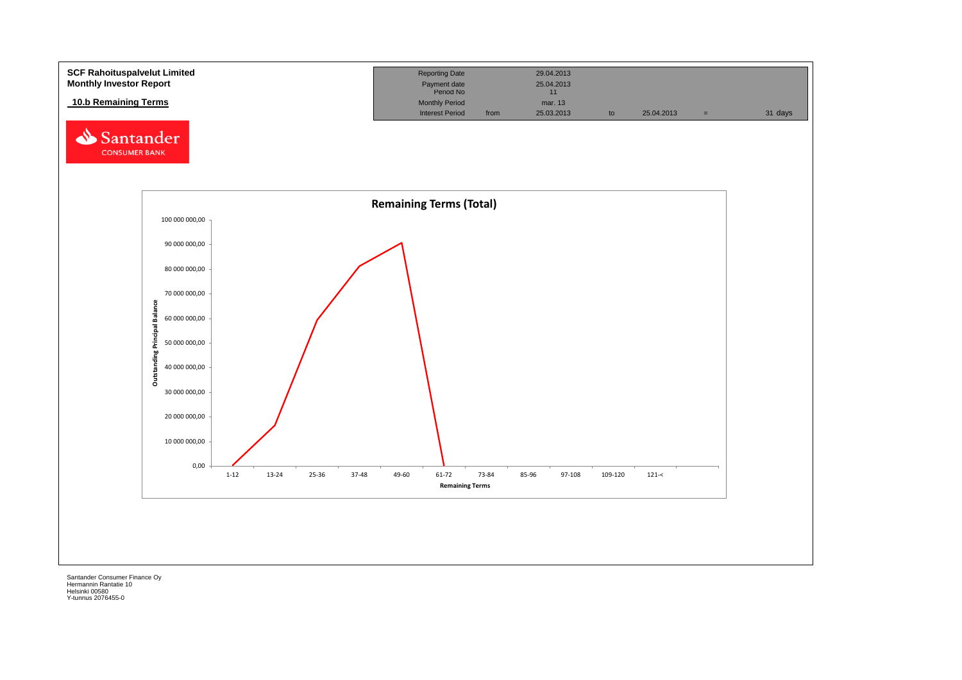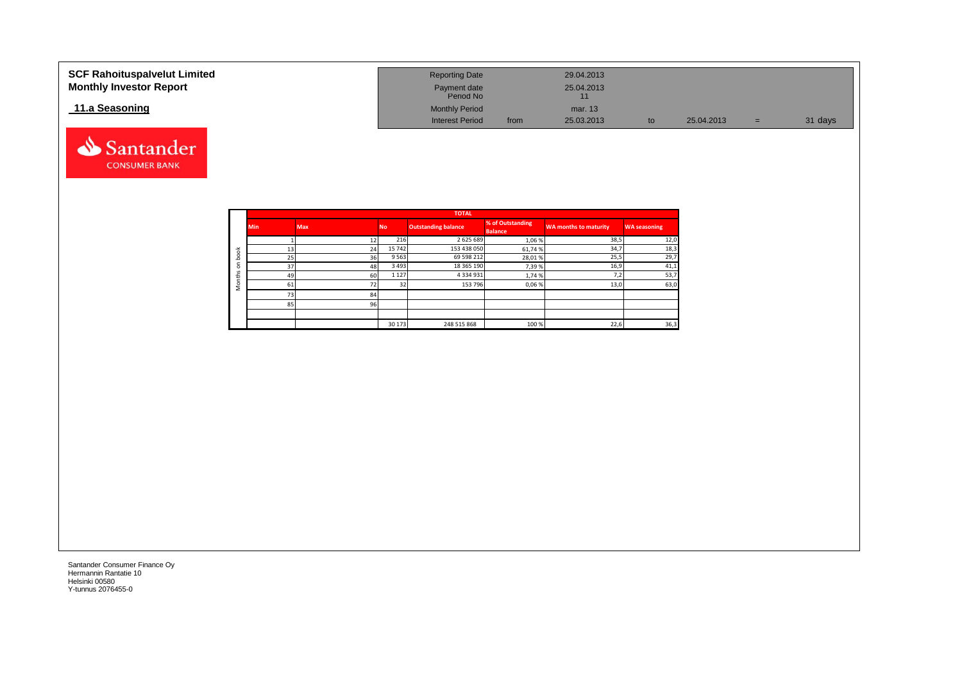| <b>SCF Rahoituspalvelut Limited</b><br><b>Monthly Investor Report</b> | <b>Reporting Date</b><br>Payment date<br>Period No |      | 29.04.2013<br>25.04.2013 |    |            |     |         |
|-----------------------------------------------------------------------|----------------------------------------------------|------|--------------------------|----|------------|-----|---------|
| 11.a Seasoning                                                        | <b>Monthly Period</b>                              |      | mar. 13                  |    |            |     |         |
|                                                                       | <b>Interest Period</b>                             | from | 25.03.2013               | to | 25.04.2013 | $=$ | 31 days |



|              |            |            |           | <b>TOTAL</b>               |                                    |                       |                     |
|--------------|------------|------------|-----------|----------------------------|------------------------------------|-----------------------|---------------------|
|              | <b>Min</b> | <b>Max</b> | <b>No</b> | <b>Outstanding balance</b> | % of Outstanding<br><b>Balance</b> | WA months to maturity | <b>WA seasoning</b> |
|              |            |            | 216       | 2625689                    | 1,06%                              | 38,5                  | 12,0                |
| 者            | 13         | 24         | 15 742    | 153 438 050                | 61,74%                             | 34,7                  | 18,3                |
| c<br>ء       | 25         | 36         | 9563      | 69 598 212                 | 28,01%                             | 25,5                  | 29,7                |
| c<br>$\circ$ | 37         | 48         | 3 4 9 3   | 18 365 190                 | 7,39%                              | 16,9                  | 41,1                |
| S<br>£       | 49         | 60         | 1 1 2 7   | 4 3 3 4 9 3 1              | 1,74%                              | 7,2                   | 53,7                |
| $\circ$      | 61         | 72         | 32        | 153 796                    | 0,06%                              | 13,0                  | 63,0                |
|              | 731        | 84         |           |                            |                                    |                       |                     |
|              | 85         | 96         |           |                            |                                    |                       |                     |
|              |            |            |           |                            |                                    |                       |                     |
|              |            |            | 30 173    | 248 515 868                | 100 %                              | 22,6                  | 36,3                |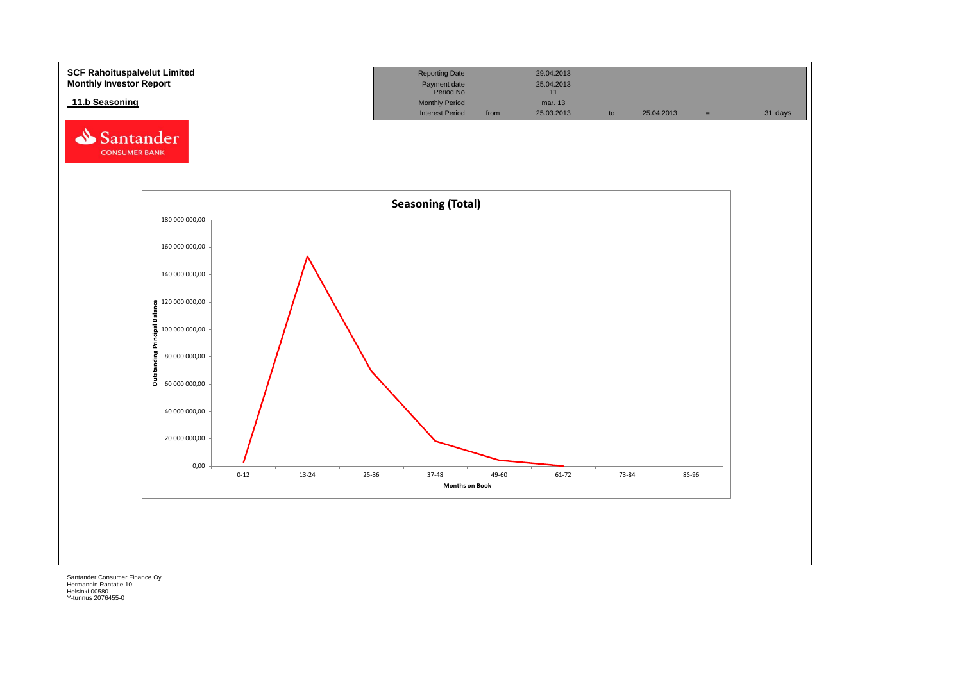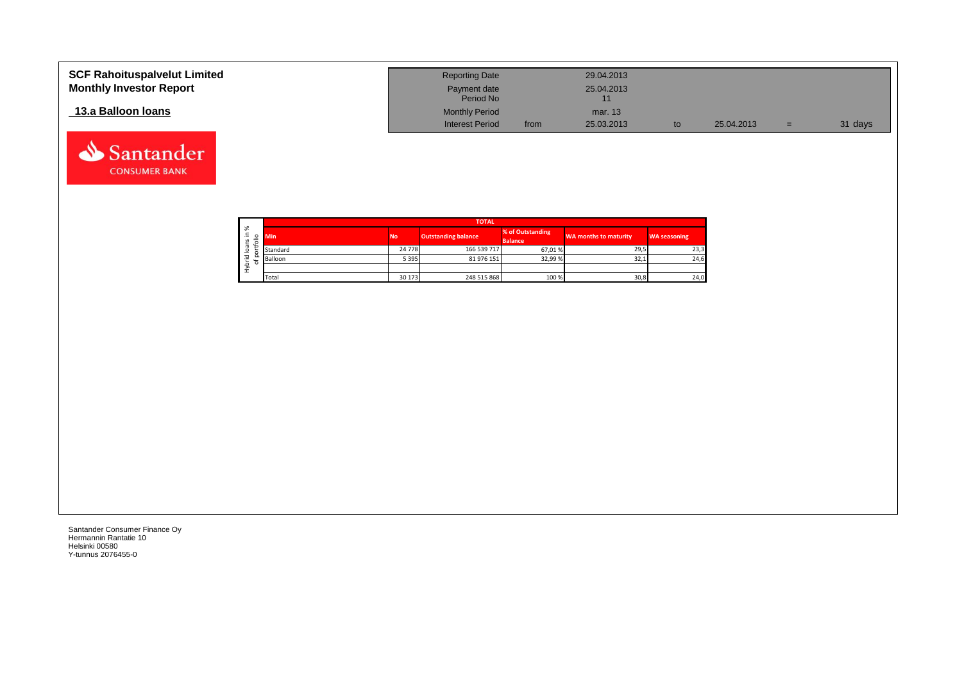| <b>SCF Rahoituspalvelut Limited</b><br><b>Monthly Investor Report</b> | <b>Reporting Date</b><br>Payment date<br>Period No |      | 29.04.2013<br>25.04.2013 |            |     |         |
|-----------------------------------------------------------------------|----------------------------------------------------|------|--------------------------|------------|-----|---------|
| 13.a Balloon Ioans                                                    | <b>Monthly Period</b>                              |      | mar. 13                  |            |     |         |
|                                                                       | <b>Interest Period</b>                             | from | 25.03.2013               | 25.04.2013 | $=$ | 31 days |



Santander **CONSUMER BANK**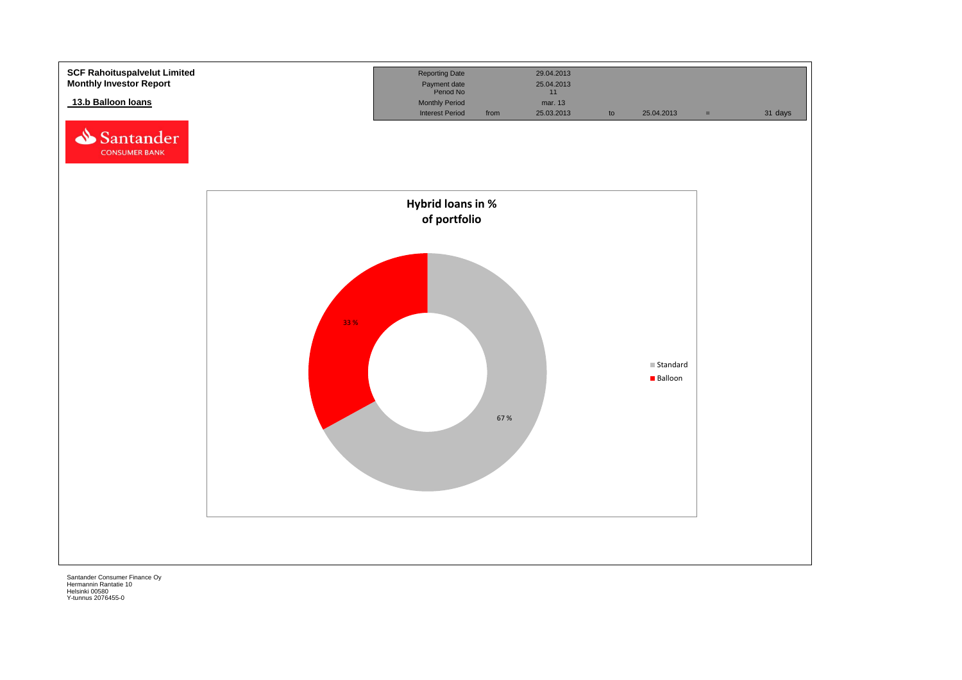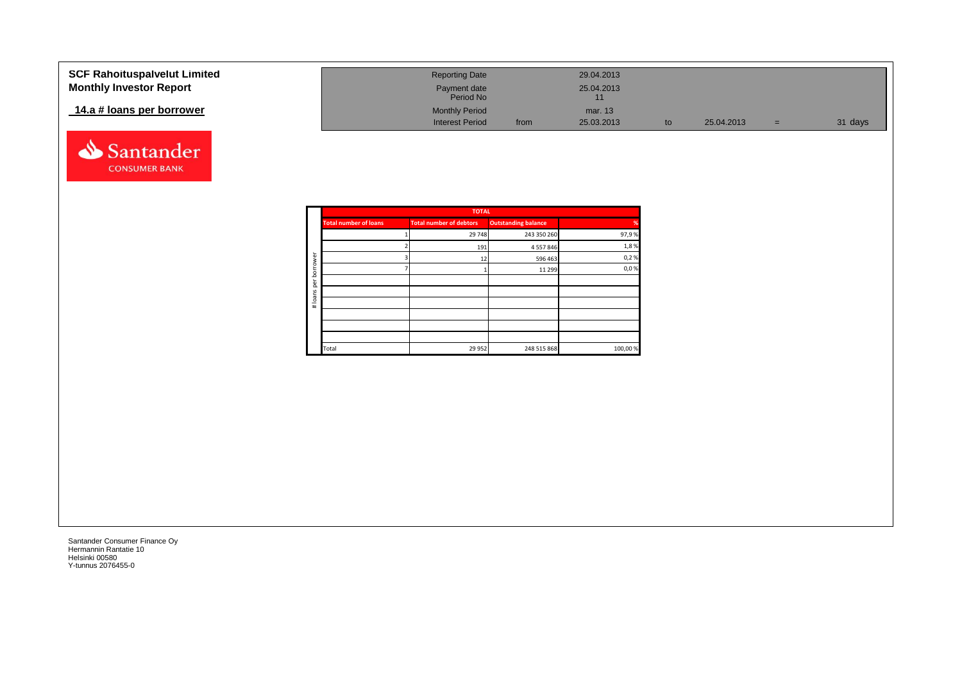| <b>SCF Rahoituspalvelut Limited</b> | <b>Reporting Date</b>     |      | 29.04.2013 |            |     |         |
|-------------------------------------|---------------------------|------|------------|------------|-----|---------|
| <b>Monthly Investor Report</b>      | Payment date<br>Period No |      | 25.04.2013 |            |     |         |
| 14.a # loans per borrower           | <b>Monthly Period</b>     |      | mar. 13    |            |     |         |
|                                     | <b>Interest Period</b>    | from | 25.03.2013 | 25.04.2013 | $=$ | 31 days |



|         |                            | <b>TOTAL</b>                   |                              |               |
|---------|----------------------------|--------------------------------|------------------------------|---------------|
| %       | <b>Outstanding balance</b> | <b>Total number of debtors</b> | <b>Total number of loans</b> |               |
| 97,9%   | 243 350 260                | 29 748                         |                              |               |
| 1,8%    | 4 5 5 7 8 4 6              | 191                            |                              |               |
| 0,2%    | 596 463                    | 12                             |                              | ā             |
| 0,0%    | 11 299                     |                                |                              | row           |
|         |                            |                                |                              | bor<br>per    |
|         |                            |                                |                              |               |
|         |                            |                                |                              | loans<br>$\#$ |
|         |                            |                                |                              |               |
|         |                            |                                |                              |               |
|         |                            |                                |                              |               |
| 100,00% | 248 515 868                | 29 9 52                        | Total                        |               |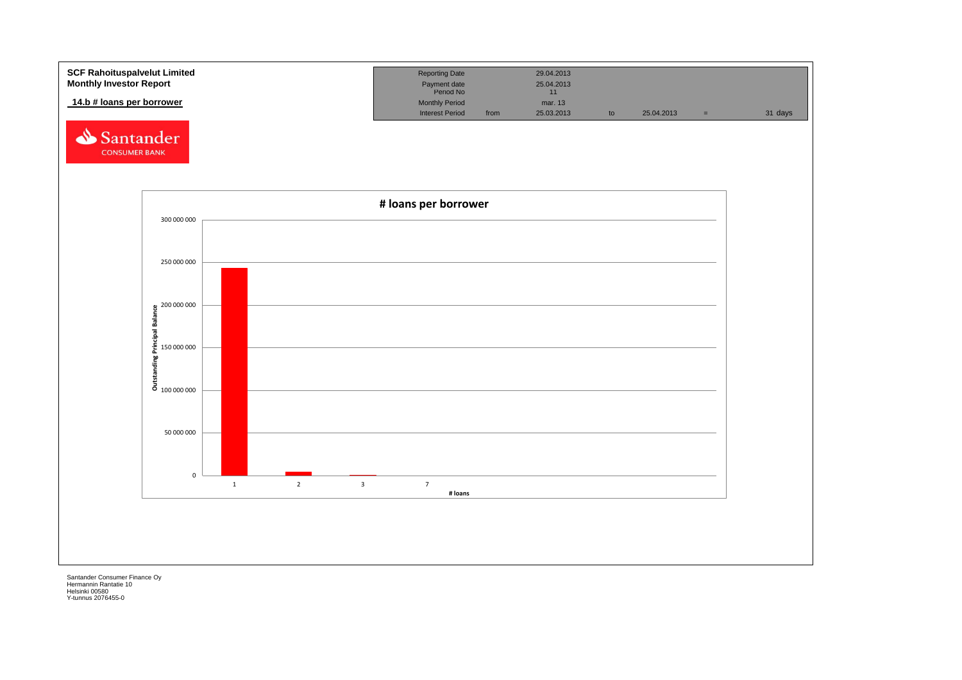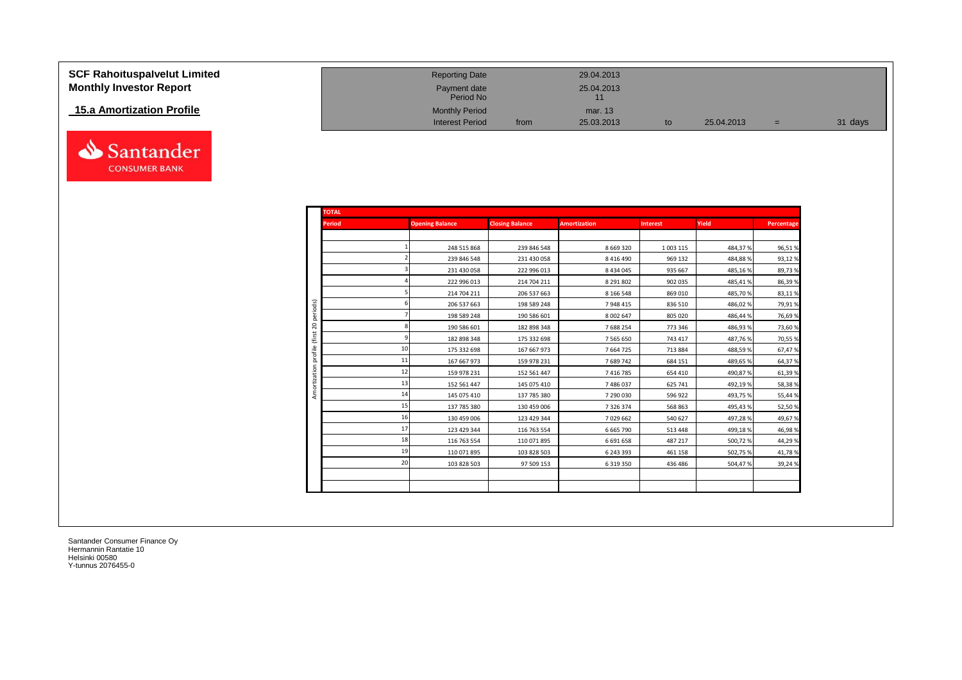| <b>SCF Rahoituspalvelut Limited</b> |
|-------------------------------------|
| <b>Monthly Investor Report</b>      |

# **15.a Amortization Profile**



| SCF Rahoituspalvelut Limited   | <b>Reporting Date</b>     |      | 29.04.2013 |    |            |     |         |
|--------------------------------|---------------------------|------|------------|----|------------|-----|---------|
| <b>Monthly Investor Report</b> | Payment date<br>Period No |      | 25.04.2013 |    |            |     |         |
| 15.a Amortization Profile      | <b>Monthly Period</b>     |      | mar. 13    |    |            |     |         |
|                                | <b>Interest Period</b>    | from | 25.03.2013 | to | 25.04.2013 | $=$ | 31 days |

| <b>TOTAL</b>            |    |                        |                        |                     |                 |          |            |
|-------------------------|----|------------------------|------------------------|---------------------|-----------------|----------|------------|
| <b>Period</b>           |    | <b>Opening Balance</b> | <b>Closing Balance</b> | <b>Amortization</b> | <b>Interest</b> | Yield    | Percentage |
|                         |    |                        |                        |                     |                 |          |            |
|                         |    | 248 515 868            | 239 846 548            | 8 6 6 9 3 2 0       | 1 003 115       | 484,37%  | 96,51%     |
|                         |    | 239 846 548            | 231 430 058            | 8 4 1 6 4 9 0       | 969 132         | 484,88%  | 93,12%     |
|                         |    | 231 430 058            | 222 996 013            | 8434045             | 935 667         | 485,16%  | 89,73%     |
|                         |    | 222 996 013            | 214 704 211            | 8 291 802           | 902 035         | 485,41%  | 86,39%     |
|                         |    | 214 704 211            | 206 537 663            | 8 1 6 5 4 8         | 869 010         | 485,70%  | 83,11%     |
| periods)                |    | 206 537 663            | 198 589 248            | 7948415             | 836 510         | 486,02%  | 79,91%     |
|                         |    | 198 589 248            | 190 586 601            | 8 0 0 2 6 4 7       | 805 020         | 486,44 % | 76,69%     |
|                         |    | 190 586 601            | 182 898 348            | 7688254             | 773 346         | 486,93%  | 73,60%     |
|                         |    | 182 898 348            | 175 332 698            | 7 5 6 5 6 5 0       | 743 417         | 487,76%  | 70,55%     |
|                         | 10 | 175 332 698            | 167 667 973            | 7664725             | 713 884         | 488,59%  | 67,47%     |
| profile<br>Amortization | 11 | 167 667 973            | 159 978 231            | 7 689 742           | 684 151         | 489,65%  | 64,37%     |
|                         | 12 | 159 978 231            | 152 561 447            | 7416785             | 654 410         | 490,87%  | 61,39%     |
|                         | 13 | 152 561 447            | 145 075 410            | 7486037             | 625 741         | 492,19%  | 58,38%     |
|                         | 14 | 145 075 410            | 137 785 380            | 7 290 030           | 596 922         | 493,75%  | 55,44%     |
|                         | 15 | 137 785 380            | 130 459 006            | 7326374             | 568 863         | 495,43%  | 52,50%     |
|                         | 16 | 130 459 006            | 123 429 344            | 7029662             | 540 627         | 497,28%  | 49,67%     |
|                         | 17 | 123 429 344            | 116 763 554            | 6 6 6 5 7 9 0       | 513 448         | 499,18%  | 46,98%     |
|                         | 18 | 116 763 554            | 110 071 895            | 6691658             | 487 217         | 500,72%  | 44,29%     |
|                         | 19 | 110 071 895            | 103 828 503            | 6 243 393           | 461 158         | 502,75%  | 41,78%     |
|                         | 20 | 103 828 503            | 97 509 153             | 6319350             | 436 486         | 504,47%  | 39,24%     |
|                         |    |                        |                        |                     |                 |          |            |
|                         |    |                        |                        |                     |                 |          |            |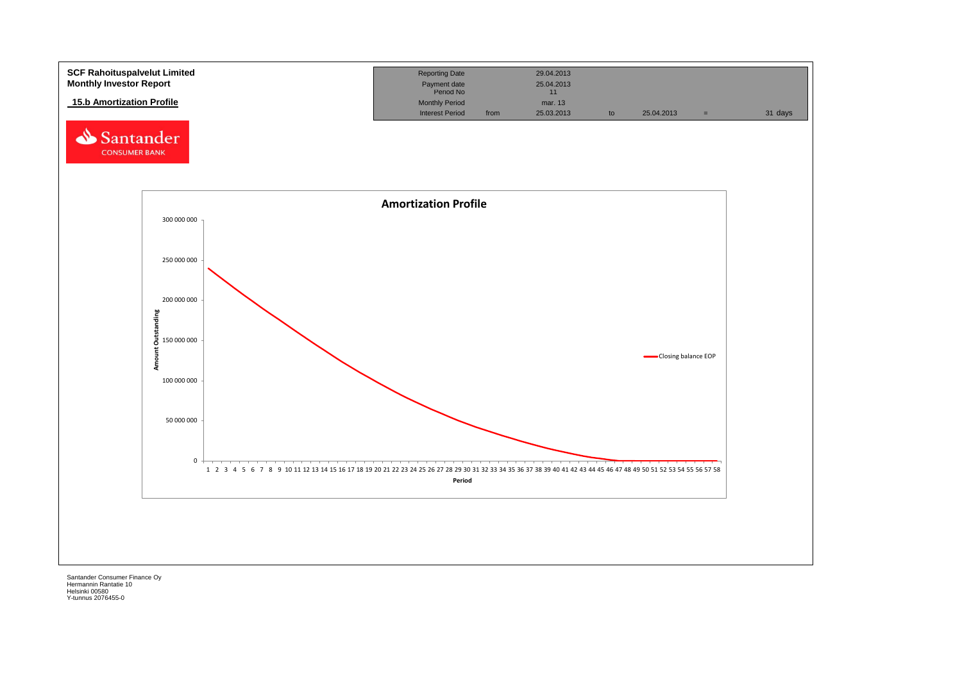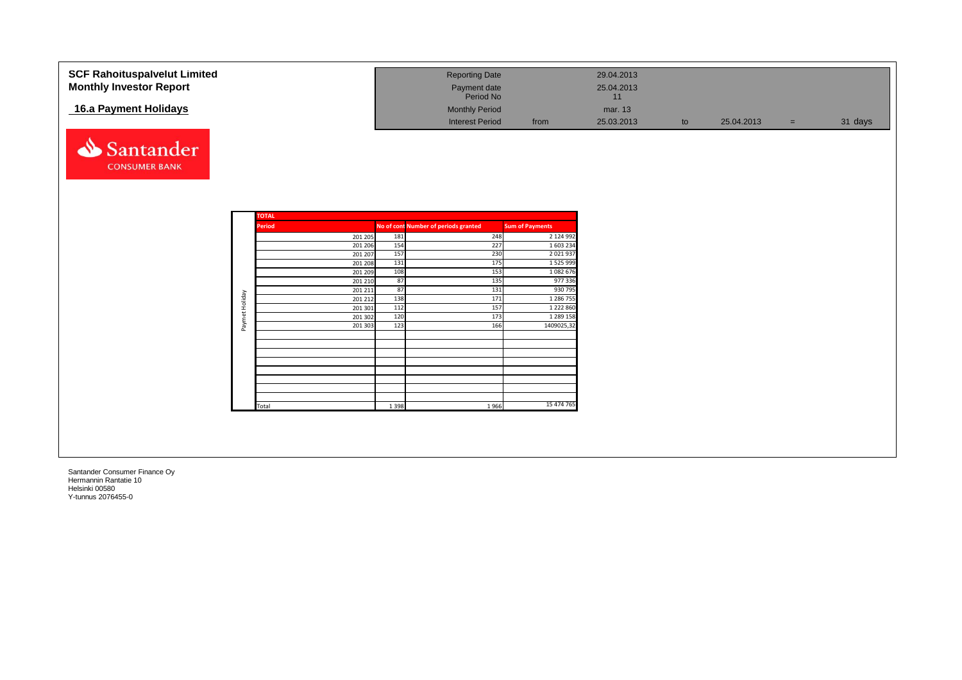| <b>SCF Rahoituspalvelut Limited</b> |                |                    |           | <b>Reporting Date</b>                |                            | 29.04.2013       |    |            |     |         |
|-------------------------------------|----------------|--------------------|-----------|--------------------------------------|----------------------------|------------------|----|------------|-----|---------|
| <b>Monthly Investor Report</b>      |                |                    |           |                                      |                            |                  |    |            |     |         |
|                                     |                |                    |           | Payment date<br>Period No            |                            | 25.04.2013<br>11 |    |            |     |         |
| 16.a Payment Holidays               |                |                    |           | <b>Monthly Period</b>                |                            | mar. 13          |    |            |     |         |
|                                     |                |                    |           |                                      |                            |                  |    |            |     |         |
|                                     |                |                    |           | <b>Interest Period</b>               | from                       | 25.03.2013       | to | 25.04.2013 | $=$ | 31 days |
| Santander                           |                |                    |           |                                      |                            |                  |    |            |     |         |
| <b>CONSUMER BANK</b>                |                |                    |           |                                      |                            |                  |    |            |     |         |
|                                     |                |                    |           |                                      |                            |                  |    |            |     |         |
|                                     |                |                    |           |                                      |                            |                  |    |            |     |         |
|                                     |                |                    |           |                                      |                            |                  |    |            |     |         |
|                                     |                | <b>TOTAL</b>       |           |                                      |                            |                  |    |            |     |         |
|                                     |                | Period             |           | No of cont Number of periods granted | <b>Sum of Payments</b>     |                  |    |            |     |         |
|                                     |                | 201 205            | 181       | 248                                  | 2 124 992                  |                  |    |            |     |         |
|                                     |                | 201 206            | 154       | 227                                  | 1 603 234                  |                  |    |            |     |         |
|                                     |                | 201 207            | 157       | 230                                  | 2 0 2 1 9 3                |                  |    |            |     |         |
|                                     |                | 201 208            | 131       | 175                                  | 1 5 2 5 9 9 9              |                  |    |            |     |         |
|                                     |                | 201 209            | 108       | 153                                  | 1082676                    |                  |    |            |     |         |
|                                     |                | 201 210            | 87        | 135                                  | 977 336                    |                  |    |            |     |         |
|                                     |                | 201 211            | 87<br>138 | 131<br>171                           | 930 795                    |                  |    |            |     |         |
|                                     |                | 201 212            | 112       | 157                                  | 1 286 755<br>1 2 2 2 8 6 0 |                  |    |            |     |         |
|                                     |                | 201 301<br>201 302 | 120       | 173                                  | 1 289 158                  |                  |    |            |     |         |
|                                     | Paymet Holiday | 201 303            | 123       | 166                                  | 1409025,32                 |                  |    |            |     |         |
|                                     |                |                    |           |                                      |                            |                  |    |            |     |         |
|                                     |                |                    |           |                                      |                            |                  |    |            |     |         |
|                                     |                |                    |           |                                      |                            |                  |    |            |     |         |
|                                     |                |                    |           |                                      |                            |                  |    |            |     |         |
|                                     |                |                    |           |                                      |                            |                  |    |            |     |         |
|                                     |                |                    |           |                                      |                            |                  |    |            |     |         |
|                                     |                |                    |           |                                      |                            |                  |    |            |     |         |
|                                     |                |                    |           |                                      |                            |                  |    |            |     |         |
|                                     |                | Total              | 1 3 9 8   | 1966                                 | 15 474 765                 |                  |    |            |     |         |
|                                     |                |                    |           |                                      |                            |                  |    |            |     |         |
|                                     |                |                    |           |                                      |                            |                  |    |            |     |         |
|                                     |                |                    |           |                                      |                            |                  |    |            |     |         |
|                                     |                |                    |           |                                      |                            |                  |    |            |     |         |
|                                     |                |                    |           |                                      |                            |                  |    |            |     |         |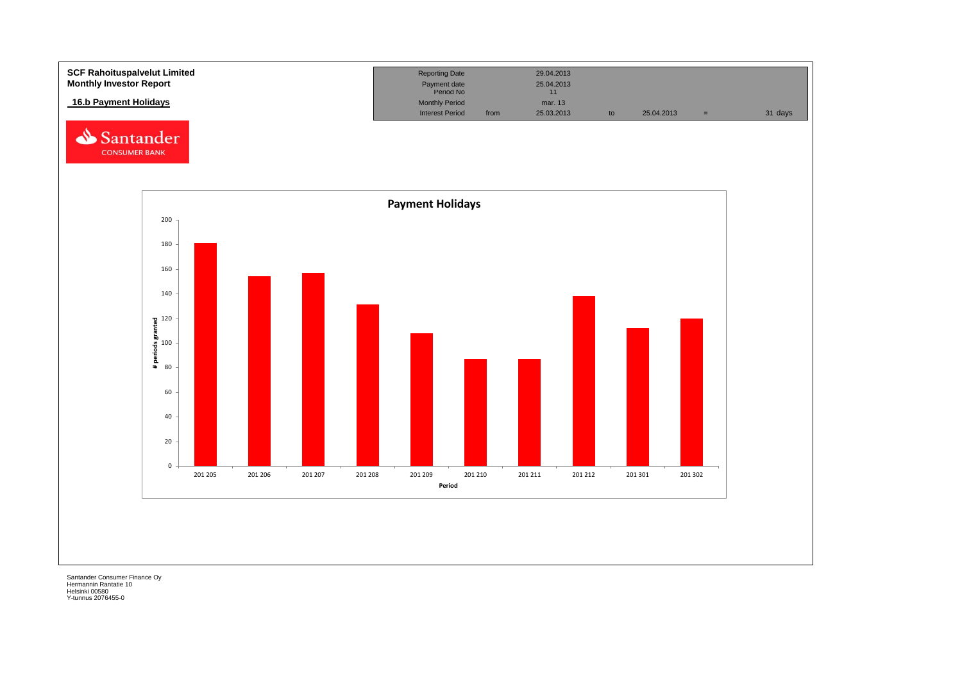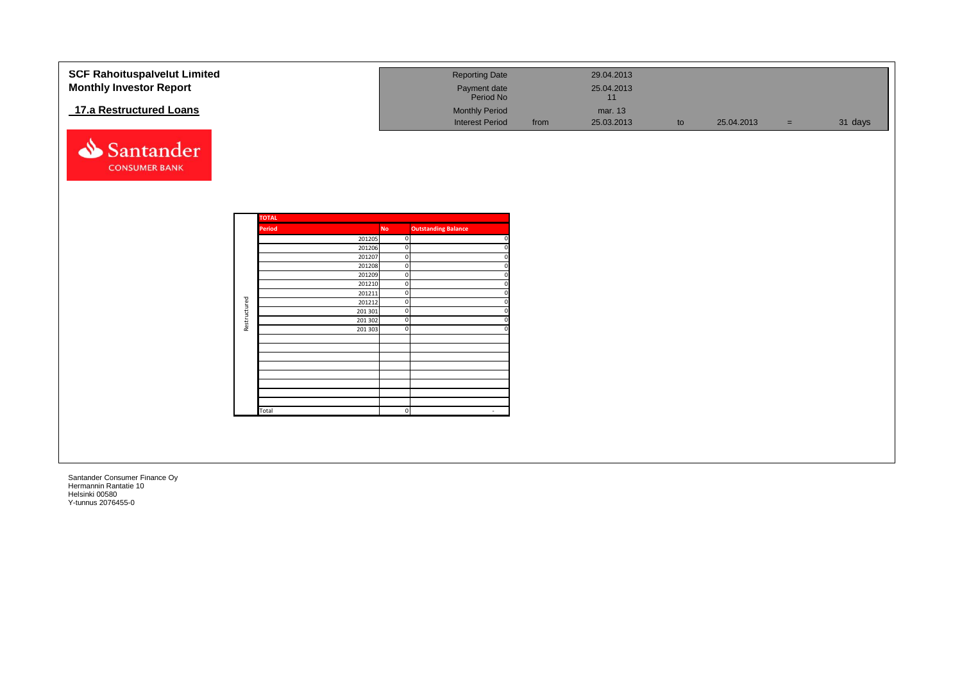| <b>SCF Rahoituspalvelut Limited</b> |              |              |                    |           | <b>Reporting Date</b>      |      | 29.04.2013 |    |            |       |         |
|-------------------------------------|--------------|--------------|--------------------|-----------|----------------------------|------|------------|----|------------|-------|---------|
| <b>Monthly Investor Report</b>      |              |              |                    |           |                            |      | 25.04.2013 |    |            |       |         |
|                                     |              |              |                    |           | Payment date<br>Period No  |      | 11         |    |            |       |         |
| 17.a Restructured Loans             |              |              |                    |           | <b>Monthly Period</b>      |      | mar. 13    |    |            |       |         |
|                                     |              |              |                    |           | <b>Interest Period</b>     | from | 25.03.2013 | to | 25.04.2013 | $=$ . | 31 days |
|                                     |              |              |                    |           |                            |      |            |    |            |       |         |
|                                     |              |              |                    |           |                            |      |            |    |            |       |         |
| Santander                           |              |              |                    |           |                            |      |            |    |            |       |         |
| <b>CONSUMER BANK</b>                |              |              |                    |           |                            |      |            |    |            |       |         |
|                                     |              |              |                    |           |                            |      |            |    |            |       |         |
|                                     |              |              |                    |           |                            |      |            |    |            |       |         |
|                                     |              |              |                    |           |                            |      |            |    |            |       |         |
|                                     |              |              |                    |           |                            |      |            |    |            |       |         |
|                                     |              | <b>TOTAL</b> |                    |           |                            |      |            |    |            |       |         |
|                                     |              | Period       |                    | <b>No</b> | <b>Outstanding Balance</b> |      |            |    |            |       |         |
|                                     |              |              | 201205             |           | $\overline{0}$             |      |            |    |            |       |         |
|                                     |              |              | 201206             |           | $\mathbf 0$                |      |            |    |            |       |         |
|                                     |              |              | 201207<br>201208   |           | $\mathbf 0$<br>$\mathbf 0$ |      |            |    |            |       |         |
|                                     |              |              | 201209             |           | $\mathbf 0$                |      |            |    |            |       |         |
|                                     |              |              | 201210             |           | $\mathbf 0$                |      |            |    |            |       |         |
|                                     |              |              | 201211             |           | $\mathbf 0$                |      |            |    |            |       |         |
|                                     |              |              | 201212             |           | $\overline{0}$             |      |            |    |            |       |         |
|                                     |              |              | 201 301<br>201 302 |           | $\mathbf 0$<br>$\mathbf 0$ |      |            |    |            |       |         |
|                                     | Restructured |              | 201 303            |           | $\overline{0}$             |      |            |    |            |       |         |
|                                     |              |              |                    |           |                            |      |            |    |            |       |         |
|                                     |              |              |                    |           |                            |      |            |    |            |       |         |
|                                     |              |              |                    |           |                            |      |            |    |            |       |         |
|                                     |              |              |                    |           |                            |      |            |    |            |       |         |
|                                     |              |              |                    |           |                            |      |            |    |            |       |         |
|                                     |              |              |                    |           |                            |      |            |    |            |       |         |
|                                     |              |              |                    |           |                            |      |            |    |            |       |         |
|                                     |              | Total        |                    |           |                            |      |            |    |            |       |         |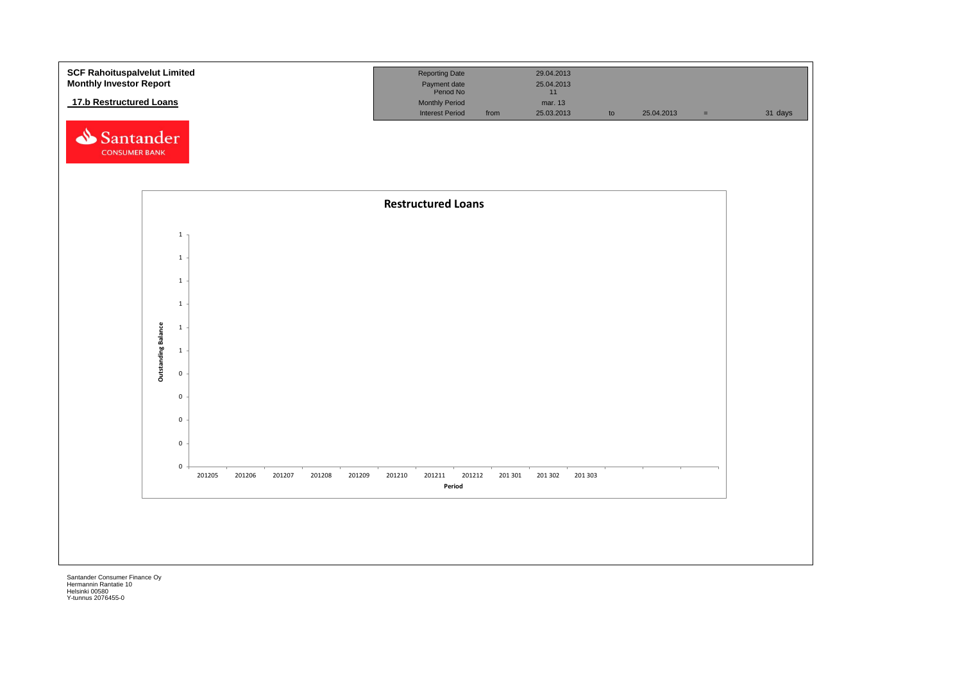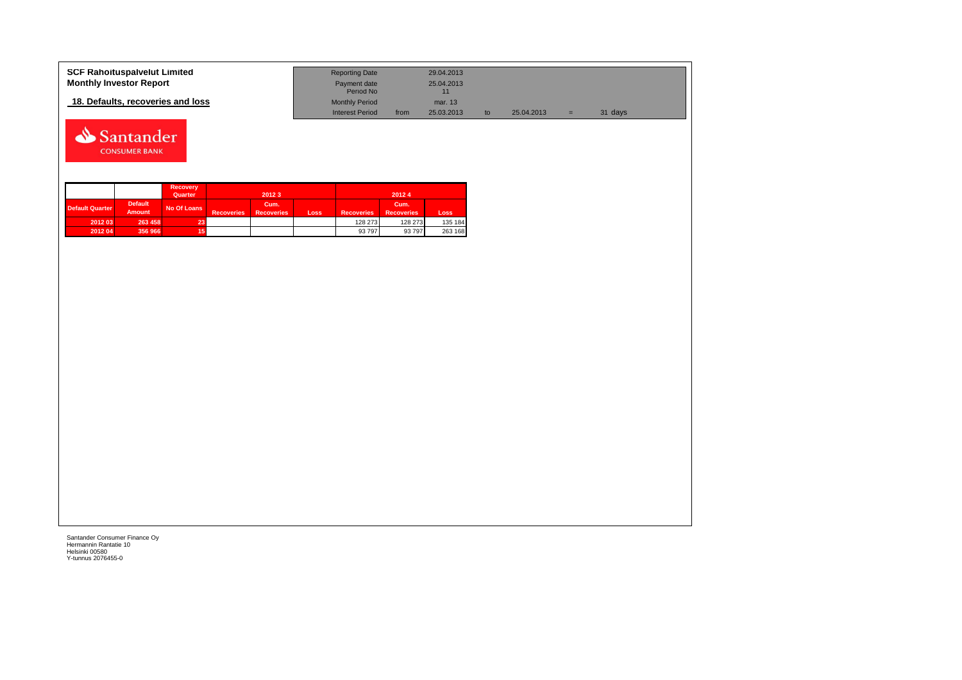| <b>SCF Rahoituspalvelut Limited</b> | <b>Reporting Date</b>     |      | 29.04.2013 |            |     |         |  |
|-------------------------------------|---------------------------|------|------------|------------|-----|---------|--|
| <b>Monthly Investor Report</b>      | Payment date<br>Period No |      | 25.04.2013 |            |     |         |  |
| 18. Defaults, recoveries and loss   | <b>Monthly Period</b>     |      | mar. 13    |            |     |         |  |
|                                     | <b>Interest Period</b>    | from | 25.03.2013 | 25.04.2013 | $=$ | 31 days |  |



|                        |                                 | <b>Recovery</b><br>Quarter |                   | 2012 3                    |      | 20124             |                           |         |  |  |
|------------------------|---------------------------------|----------------------------|-------------------|---------------------------|------|-------------------|---------------------------|---------|--|--|
| <b>Default Quarter</b> | <b>Default</b><br><b>Amount</b> | No Of Loans                | <b>Recoveries</b> | Cum.<br><b>Recoveries</b> | Loss | <b>Recoveries</b> | Cum.<br><b>Recoveries</b> | Loss    |  |  |
| 2012 03                | 263 458                         | 23                         |                   |                           |      | 128 273           | 128 273                   | 135 184 |  |  |
| 2012 04                | 356 966                         | 15                         |                   |                           |      | 93 797            | 93 797                    | 263 168 |  |  |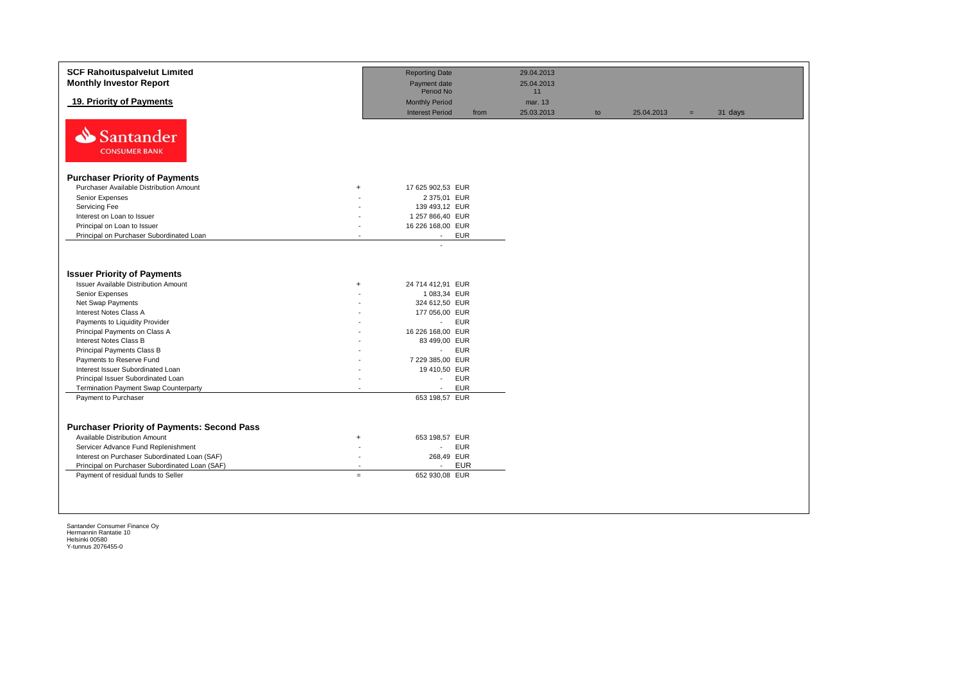| <b>SCF Rahoituspalvelut Limited</b><br><b>Monthly Investor Report</b>                                                                                                                                                                                                                                                                                                                 |                  | <b>Reporting Date</b><br>Payment date                                                                                                                                                                                  | 29.04.2013<br>25.04.2013    |    |            |     |         |
|---------------------------------------------------------------------------------------------------------------------------------------------------------------------------------------------------------------------------------------------------------------------------------------------------------------------------------------------------------------------------------------|------------------|------------------------------------------------------------------------------------------------------------------------------------------------------------------------------------------------------------------------|-----------------------------|----|------------|-----|---------|
| 19. Priority of Payments                                                                                                                                                                                                                                                                                                                                                              |                  | Period No<br><b>Monthly Period</b><br><b>Interest Period</b><br>from                                                                                                                                                   | 11<br>mar. 13<br>25.03.2013 | to | 25.04.2013 | $=$ | 31 days |
| ⇘<br>Santander<br><b>CONSUMER BANK</b>                                                                                                                                                                                                                                                                                                                                                |                  |                                                                                                                                                                                                                        |                             |    |            |     |         |
| <b>Purchaser Priority of Payments</b>                                                                                                                                                                                                                                                                                                                                                 |                  |                                                                                                                                                                                                                        |                             |    |            |     |         |
| Purchaser Available Distribution Amount                                                                                                                                                                                                                                                                                                                                               | $+$              | 17 625 902,53 EUR                                                                                                                                                                                                      |                             |    |            |     |         |
| Senior Expenses                                                                                                                                                                                                                                                                                                                                                                       |                  | 2 375,01 EUR                                                                                                                                                                                                           |                             |    |            |     |         |
| Servicing Fee                                                                                                                                                                                                                                                                                                                                                                         |                  | 139 493,12 EUR                                                                                                                                                                                                         |                             |    |            |     |         |
| Interest on Loan to Issuer                                                                                                                                                                                                                                                                                                                                                            |                  | 1 257 866,40 EUR                                                                                                                                                                                                       |                             |    |            |     |         |
| Principal on Loan to Issuer                                                                                                                                                                                                                                                                                                                                                           |                  | 16 226 168,00 EUR                                                                                                                                                                                                      |                             |    |            |     |         |
| Principal on Purchaser Subordinated Loan                                                                                                                                                                                                                                                                                                                                              |                  | <b>EUR</b><br>$\sim$                                                                                                                                                                                                   |                             |    |            |     |         |
| <b>Issuer Priority of Payments</b><br><b>Issuer Available Distribution Amount</b><br>Senior Expenses<br>Net Swap Payments<br>Interest Notes Class A<br>Payments to Liquidity Provider<br>Principal Payments on Class A<br>Interest Notes Class B<br>Principal Payments Class B<br>Payments to Reserve Fund<br>Interest Issuer Subordinated Loan<br>Principal Issuer Subordinated Loan | $\ddot{}$        | 24 714 412,91 EUR<br>1 083,34 EUR<br>324 612,50 EUR<br>177 056,00 EUR<br><b>EUR</b><br>$\omega_{\rm{max}}$<br>16 226 168,00 EUR<br>83 499,00 EUR<br>- EUR<br>7 229 385,00 EUR<br>19 410,50 EUR<br><b>EUR</b><br>$\sim$ |                             |    |            |     |         |
| <b>Termination Payment Swap Counterparty</b>                                                                                                                                                                                                                                                                                                                                          |                  | <b>EUR</b><br>$\sim$<br>653 198,57 EUR                                                                                                                                                                                 |                             |    |            |     |         |
| Payment to Purchaser<br><b>Purchaser Priority of Payments: Second Pass</b><br>Available Distribution Amount<br>Servicer Advance Fund Replenishment<br>Interest on Purchaser Subordinated Loan (SAF)<br>Principal on Purchaser Subordinated Loan (SAF)<br>Payment of residual funds to Seller                                                                                          | $\ddot{}$<br>$=$ | 653 198,57 EUR<br><b>EUR</b><br>$\sim$<br>268,49 EUR<br><b>EUR</b><br>$\overline{a}$<br>652 930,08 EUR                                                                                                                 |                             |    |            |     |         |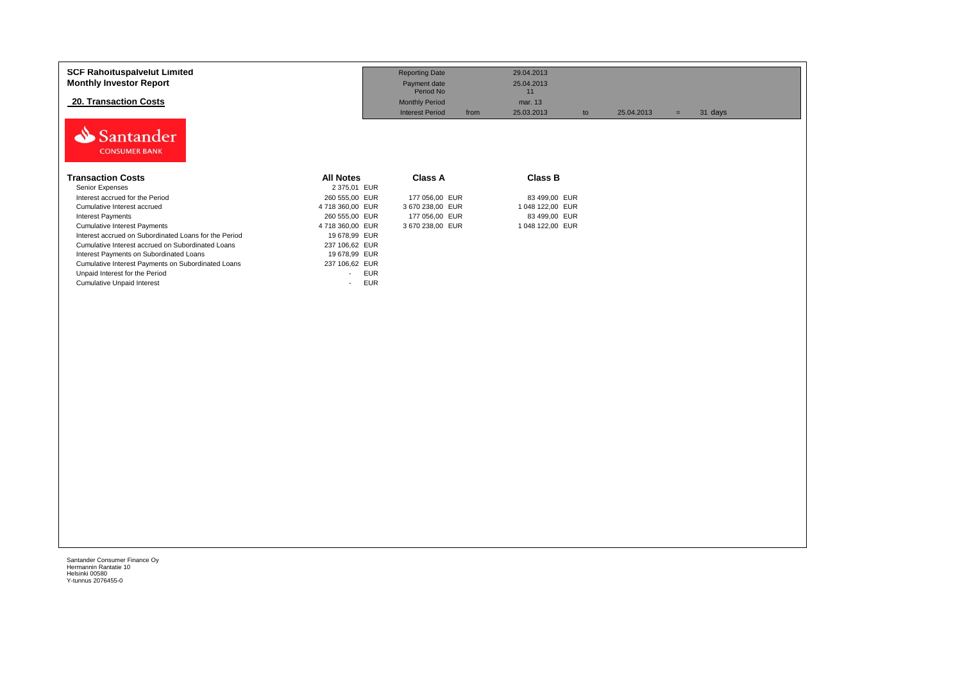| <b>SCF Rahoituspalvelut Limited</b><br><b>Monthly Investor Report</b><br><b>20. Transaction Costs</b> |                                        | <b>Reporting Date</b><br>Payment date<br>Period No<br><b>Monthly Period</b><br><b>Interest Period</b><br>from | 29.04.2013<br>25.04.2013<br>11<br>mar. 13<br>25.03.2013<br>to | 25.04.2013 | 31 days<br>$=$ |  |
|-------------------------------------------------------------------------------------------------------|----------------------------------------|---------------------------------------------------------------------------------------------------------------|---------------------------------------------------------------|------------|----------------|--|
| antander<br><b>CONSUMER BANK</b>                                                                      |                                        |                                                                                                               |                                                               |            |                |  |
| <b>Transaction Costs</b>                                                                              | <b>All Notes</b>                       | <b>Class A</b>                                                                                                | <b>Class B</b>                                                |            |                |  |
| Senior Expenses                                                                                       | 2 375,01 EUR                           |                                                                                                               |                                                               |            |                |  |
| Interest accrued for the Period                                                                       | 260 555,00 EUR                         | 177 056,00 EUR                                                                                                | 83 499,00 EUR                                                 |            |                |  |
| Cumulative Interest accrued                                                                           | 4718360,00 EUR                         | 3 670 238,00 EUR                                                                                              | 1 048 122,00 EUR                                              |            |                |  |
| <b>Interest Payments</b>                                                                              | 260 555.00 EUR                         | 177 056,00 EUR                                                                                                | 83 499,00 EUR                                                 |            |                |  |
| <b>Cumulative Interest Payments</b>                                                                   | 4718360,00 EUR                         | 3 670 238,00 EUR                                                                                              | 1 048 122,00 EUR                                              |            |                |  |
| Interest accrued on Subordinated Loans for the Period                                                 | 19 678,99 EUR                          |                                                                                                               |                                                               |            |                |  |
| Cumulative Interest accrued on Subordinated Loans                                                     | 237 106,62 EUR                         |                                                                                                               |                                                               |            |                |  |
| Interest Payments on Subordinated Loans                                                               | 19 678,99 EUR                          |                                                                                                               |                                                               |            |                |  |
| Cumulative Interest Payments on Subordinated Loans                                                    | 237 106,62 EUR                         |                                                                                                               |                                                               |            |                |  |
| Unpaid Interest for the Period                                                                        | <b>EUR</b><br>$\sim$                   |                                                                                                               |                                                               |            |                |  |
| <b>Cumulative Unpaid Interest</b>                                                                     | <b>EUR</b><br>$\overline{\phantom{a}}$ |                                                                                                               |                                                               |            |                |  |
|                                                                                                       |                                        |                                                                                                               |                                                               |            |                |  |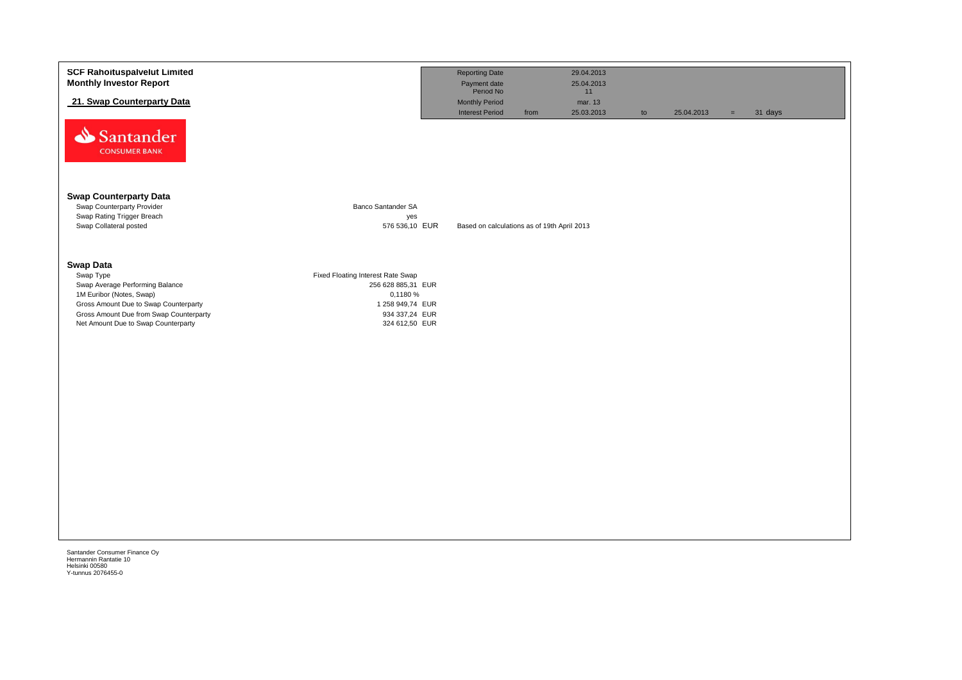|                                                                                                                             | <b>Reporting Date</b><br>Payment date<br>Period No<br><b>Monthly Period</b><br><b>Interest Period</b><br>from | 29.04.2013<br>25.04.2013<br>11<br>mar. 13<br>25.03.2013 | to                                          | 25.04.2013 | $\equiv$ | 31 days |
|-----------------------------------------------------------------------------------------------------------------------------|---------------------------------------------------------------------------------------------------------------|---------------------------------------------------------|---------------------------------------------|------------|----------|---------|
|                                                                                                                             |                                                                                                               |                                                         |                                             |            |          |         |
| <b>Banco Santander SA</b><br>yes<br>576 536,10 EUR                                                                          |                                                                                                               |                                                         |                                             |            |          |         |
| Fixed Floating Interest Rate Swap<br>256 628 885,31 EUR<br>0,1180 %<br>1 258 949,74 EUR<br>934 337,24 EUR<br>324 612,50 EUR |                                                                                                               |                                                         |                                             |            |          |         |
|                                                                                                                             |                                                                                                               |                                                         |                                             |            |          |         |
|                                                                                                                             |                                                                                                               |                                                         |                                             |            |          |         |
|                                                                                                                             |                                                                                                               |                                                         | Based on calculations as of 19th April 2013 |            |          |         |